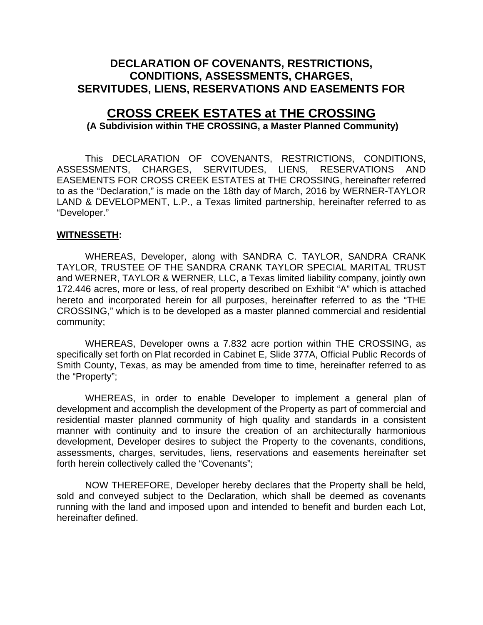## **DECLARATION OF COVENANTS, RESTRICTIONS, CONDITIONS, ASSESSMENTS, CHARGES, SERVITUDES, LIENS, RESERVATIONS AND EASEMENTS FOR**

# **CROSS CREEK ESTATES at THE CROSSING**

#### **(A Subdivision within THE CROSSING, a Master Planned Community)**

This DECLARATION OF COVENANTS, RESTRICTIONS, CONDITIONS, ASSESSMENTS, CHARGES, SERVITUDES, LIENS, RESERVATIONS AND EASEMENTS FOR CROSS CREEK ESTATES at THE CROSSING, hereinafter referred to as the "Declaration," is made on the 18th day of March, 2016 by WERNER-TAYLOR LAND & DEVELOPMENT, L.P., a Texas limited partnership, hereinafter referred to as "Developer."

#### **WITNESSETH:**

WHEREAS, Developer, along with SANDRA C. TAYLOR, SANDRA CRANK TAYLOR, TRUSTEE OF THE SANDRA CRANK TAYLOR SPECIAL MARITAL TRUST and WERNER, TAYLOR & WERNER, LLC, a Texas limited liability company, jointly own 172.446 acres, more or less, of real property described on Exhibit "A" which is attached hereto and incorporated herein for all purposes, hereinafter referred to as the "THE CROSSING," which is to be developed as a master planned commercial and residential community;

WHEREAS, Developer owns a 7.832 acre portion within THE CROSSING, as specifically set forth on Plat recorded in Cabinet E, Slide 377A, Official Public Records of Smith County, Texas, as may be amended from time to time, hereinafter referred to as the "Property";

WHEREAS, in order to enable Developer to implement a general plan of development and accomplish the development of the Property as part of commercial and residential master planned community of high quality and standards in a consistent manner with continuity and to insure the creation of an architecturally harmonious development, Developer desires to subject the Property to the covenants, conditions, assessments, charges, servitudes, liens, reservations and easements hereinafter set forth herein collectively called the "Covenants";

NOW THEREFORE, Developer hereby declares that the Property shall be held, sold and conveyed subject to the Declaration, which shall be deemed as covenants running with the land and imposed upon and intended to benefit and burden each Lot, hereinafter defined.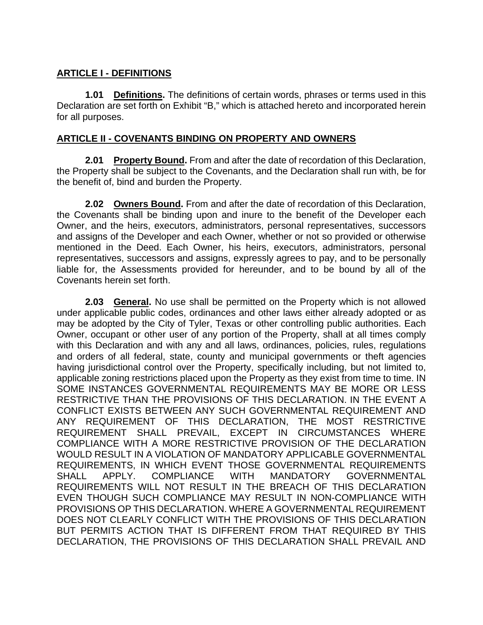### **ARTICLE I - DEFINITIONS**

**1.01 Definitions.** The definitions of certain words, phrases or terms used in this Declaration are set forth on Exhibit "B," which is attached hereto and incorporated herein for all purposes.

#### **ARTICLE II - COVENANTS BINDING ON PROPERTY AND OWNERS**

**2.01 Property Bound.** From and after the date of recordation of this Declaration, the Property shall be subject to the Covenants, and the Declaration shall run with, be for the benefit of, bind and burden the Property.

**2.02 Owners Bound.** From and after the date of recordation of this Declaration, the Covenants shall be binding upon and inure to the benefit of the Developer each Owner, and the heirs, executors, administrators, personal representatives, successors and assigns of the Developer and each Owner, whether or not so provided or otherwise mentioned in the Deed. Each Owner, his heirs, executors, administrators, personal representatives, successors and assigns, expressly agrees to pay, and to be personally liable for, the Assessments provided for hereunder, and to be bound by all of the Covenants herein set forth.

**2.03 General.** No use shall be permitted on the Property which is not allowed under applicable public codes, ordinances and other laws either already adopted or as may be adopted by the City of Tyler, Texas or other controlling public authorities. Each Owner, occupant or other user of any portion of the Property, shall at all times comply with this Declaration and with any and all laws, ordinances, policies, rules, regulations and orders of all federal, state, county and municipal governments or theft agencies having jurisdictional control over the Property, specifically including, but not limited to, applicable zoning restrictions placed upon the Property as they exist from time to time. IN SOME INSTANCES GOVERNMENTAL REQUIREMENTS MAY BE MORE OR LESS RESTRICTIVE THAN THE PROVISIONS OF THIS DECLARATION. IN THE EVENT A CONFLICT EXISTS BETWEEN ANY SUCH GOVERNMENTAL REQUIREMENT AND ANY REQUIREMENT OF THIS DECLARATION, THE MOST RESTRICTIVE REQUIREMENT SHALL PREVAIL, EXCEPT IN CIRCUMSTANCES WHERE COMPLIANCE WITH A MORE RESTRICTIVE PROVISION OF THE DECLARATION WOULD RESULT IN A VIOLATION OF MANDATORY APPLICABLE GOVERNMENTAL REQUIREMENTS, IN WHICH EVENT THOSE GOVERNMENTAL REQUIREMENTS SHALL APPLY. COMPLIANCE WITH MANDATORY GOVERNMENTAL REQUIREMENTS WILL NOT RESULT IN THE BREACH OF THIS DECLARATION EVEN THOUGH SUCH COMPLIANCE MAY RESULT IN NON-COMPLIANCE WITH PROVISIONS OP THIS DECLARATION. WHERE A GOVERNMENTAL REQUIREMENT DOES NOT CLEARLY CONFLICT WITH THE PROVISIONS OF THIS DECLARATION BUT PERMITS ACTION THAT IS DIFFERENT FROM THAT REQUIRED BY THIS DECLARATION, THE PROVISIONS OF THIS DECLARATION SHALL PREVAIL AND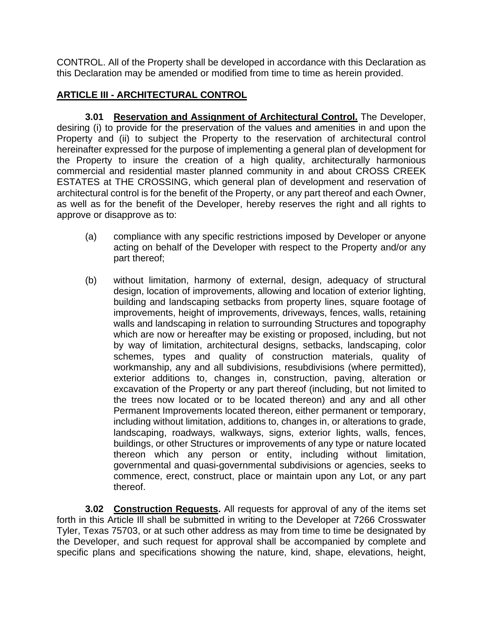CONTROL. All of the Property shall be developed in accordance with this Declaration as this Declaration may be amended or modified from time to time as herein provided.

## **ARTICLE III - ARCHITECTURAL CONTROL**

**3.01 Reservation and Assignment of Architectural Control.** The Developer, desiring (i) to provide for the preservation of the values and amenities in and upon the Property and (ii) to subject the Property to the reservation of architectural control hereinafter expressed for the purpose of implementing a general plan of development for the Property to insure the creation of a high quality, architecturally harmonious commercial and residential master planned community in and about CROSS CREEK ESTATES at THE CROSSING, which general plan of development and reservation of architectural control is for the benefit of the Property, or any part thereof and each Owner, as well as for the benefit of the Developer, hereby reserves the right and all rights to approve or disapprove as to:

- (a) compliance with any specific restrictions imposed by Developer or anyone acting on behalf of the Developer with respect to the Property and/or any part thereof;
- (b) without limitation, harmony of external, design, adequacy of structural design, location of improvements, allowing and location of exterior lighting, building and landscaping setbacks from property lines, square footage of improvements, height of improvements, driveways, fences, walls, retaining walls and landscaping in relation to surrounding Structures and topography which are now or hereafter may be existing or proposed, including, but not by way of limitation, architectural designs, setbacks, landscaping, color schemes, types and quality of construction materials, quality of workmanship, any and all subdivisions, resubdivisions (where permitted), exterior additions to, changes in, construction, paving, alteration or excavation of the Property or any part thereof (including, but not limited to the trees now located or to be located thereon) and any and all other Permanent Improvements located thereon, either permanent or temporary, including without limitation, additions to, changes in, or alterations to grade, landscaping, roadways, walkways, signs, exterior lights, walls, fences, buildings, or other Structures or improvements of any type or nature located thereon which any person or entity, including without limitation, governmental and quasi-governmental subdivisions or agencies, seeks to commence, erect, construct, place or maintain upon any Lot, or any part thereof.

**3.02 Construction Requests.** All requests for approval of any of the items set forth in this Article Ill shall be submitted in writing to the Developer at 7266 Crosswater Tyler, Texas 75703, or at such other address as may from time to time be designated by the Developer, and such request for approval shall be accompanied by complete and specific plans and specifications showing the nature, kind, shape, elevations, height,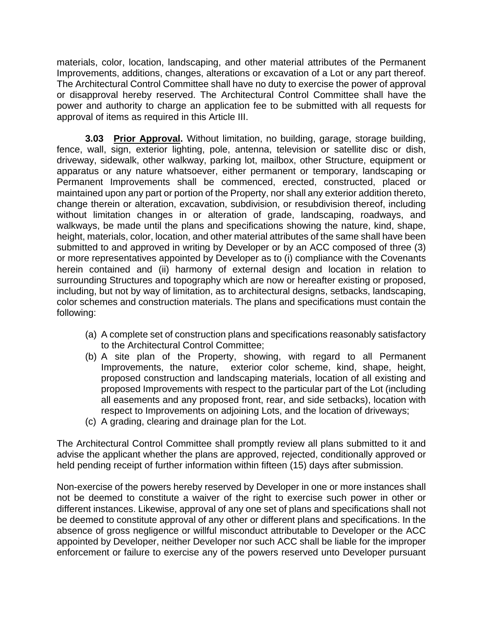materials, color, location, landscaping, and other material attributes of the Permanent Improvements, additions, changes, alterations or excavation of a Lot or any part thereof. The Architectural Control Committee shall have no duty to exercise the power of approval or disapproval hereby reserved. The Architectural Control Committee shall have the power and authority to charge an application fee to be submitted with all requests for approval of items as required in this Article III.

**3.03 Prior Approval.** Without limitation, no building, garage, storage building, fence, wall, sign, exterior lighting, pole, antenna, television or satellite disc or dish, driveway, sidewalk, other walkway, parking lot, mailbox, other Structure, equipment or apparatus or any nature whatsoever, either permanent or temporary, landscaping or Permanent Improvements shall be commenced, erected, constructed, placed or maintained upon any part or portion of the Property, nor shall any exterior addition thereto, change therein or alteration, excavation, subdivision, or resubdivision thereof, including without limitation changes in or alteration of grade, landscaping, roadways, and walkways, be made until the plans and specifications showing the nature, kind, shape, height, materials, color, location, and other material attributes of the same shall have been submitted to and approved in writing by Developer or by an ACC composed of three (3) or more representatives appointed by Developer as to (i) compliance with the Covenants herein contained and (ii) harmony of external design and location in relation to surrounding Structures and topography which are now or hereafter existing or proposed, including, but not by way of limitation, as to architectural designs, setbacks, landscaping, color schemes and construction materials. The plans and specifications must contain the following:

- (a) A complete set of construction plans and specifications reasonably satisfactory to the Architectural Control Committee;
- (b) A site plan of the Property, showing, with regard to all Permanent Improvements, the nature, exterior color scheme, kind, shape, height, proposed construction and landscaping materials, location of all existing and proposed Improvements with respect to the particular part of the Lot (including all easements and any proposed front, rear, and side setbacks), location with respect to Improvements on adjoining Lots, and the location of driveways;
- (c) A grading, clearing and drainage plan for the Lot.

The Architectural Control Committee shall promptly review all plans submitted to it and advise the applicant whether the plans are approved, rejected, conditionally approved or held pending receipt of further information within fifteen (15) days after submission.

Non-exercise of the powers hereby reserved by Developer in one or more instances shall not be deemed to constitute a waiver of the right to exercise such power in other or different instances. Likewise, approval of any one set of plans and specifications shall not be deemed to constitute approval of any other or different plans and specifications. In the absence of gross negligence or willful misconduct attributable to Developer or the ACC appointed by Developer, neither Developer nor such ACC shall be liable for the improper enforcement or failure to exercise any of the powers reserved unto Developer pursuant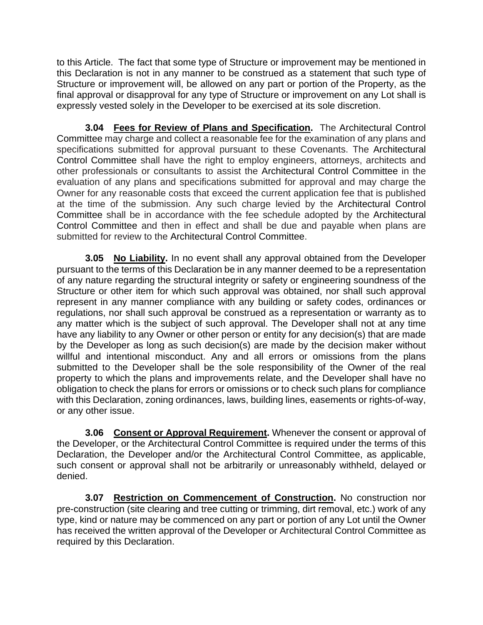to this Article. The fact that some type of Structure or improvement may be mentioned in this Declaration is not in any manner to be construed as a statement that such type of Structure or improvement will, be allowed on any part or portion of the Property, as the final approval or disapproval for any type of Structure or improvement on any Lot shall is expressly vested solely in the Developer to be exercised at its sole discretion.

**3.04 Fees for Review of Plans and Specification.** The Architectural Control Committee may charge and collect a reasonable fee for the examination of any plans and specifications submitted for approval pursuant to these Covenants. The Architectural Control Committee shall have the right to employ engineers, attorneys, architects and other professionals or consultants to assist the Architectural Control Committee in the evaluation of any plans and specifications submitted for approval and may charge the Owner for any reasonable costs that exceed the current application fee that is published at the time of the submission. Any such charge levied by the Architectural Control Committee shall be in accordance with the fee schedule adopted by the Architectural Control Committee and then in effect and shall be due and payable when plans are submitted for review to the Architectural Control Committee.

**3.05 No Liability.** In no event shall any approval obtained from the Developer pursuant to the terms of this Declaration be in any manner deemed to be a representation of any nature regarding the structural integrity or safety or engineering soundness of the Structure or other item for which such approval was obtained, nor shall such approval represent in any manner compliance with any building or safety codes, ordinances or regulations, nor shall such approval be construed as a representation or warranty as to any matter which is the subject of such approval. The Developer shall not at any time have any liability to any Owner or other person or entity for any decision(s) that are made by the Developer as long as such decision(s) are made by the decision maker without willful and intentional misconduct. Any and all errors or omissions from the plans submitted to the Developer shall be the sole responsibility of the Owner of the real property to which the plans and improvements relate, and the Developer shall have no obligation to check the plans for errors or omissions or to check such plans for compliance with this Declaration, zoning ordinances, laws, building lines, easements or rights-of-way, or any other issue.

**3.06 Consent or Approval Requirement.** Whenever the consent or approval of the Developer, or the Architectural Control Committee is required under the terms of this Declaration, the Developer and/or the Architectural Control Committee, as applicable, such consent or approval shall not be arbitrarily or unreasonably withheld, delayed or denied.

**3.07 Restriction on Commencement of Construction.** No construction nor pre-construction (site clearing and tree cutting or trimming, dirt removal, etc.) work of any type, kind or nature may be commenced on any part or portion of any Lot until the Owner has received the written approval of the Developer or Architectural Control Committee as required by this Declaration.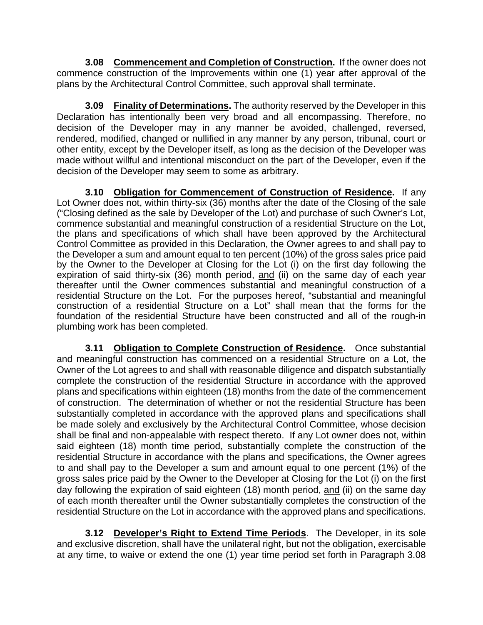**3.08 Commencement and Completion of Construction.** If the owner does not commence construction of the Improvements within one (1) year after approval of the plans by the Architectural Control Committee, such approval shall terminate.

**3.09 Finality of Determinations.** The authority reserved by the Developer in this Declaration has intentionally been very broad and all encompassing. Therefore, no decision of the Developer may in any manner be avoided, challenged, reversed, rendered, modified, changed or nullified in any manner by any person, tribunal, court or other entity, except by the Developer itself, as long as the decision of the Developer was made without willful and intentional misconduct on the part of the Developer, even if the decision of the Developer may seem to some as arbitrary.

**3.10 Obligation for Commencement of Construction of Residence.** If any Lot Owner does not, within thirty-six (36) months after the date of the Closing of the sale ("Closing defined as the sale by Developer of the Lot) and purchase of such Owner's Lot, commence substantial and meaningful construction of a residential Structure on the Lot, the plans and specifications of which shall have been approved by the Architectural Control Committee as provided in this Declaration, the Owner agrees to and shall pay to the Developer a sum and amount equal to ten percent (10%) of the gross sales price paid by the Owner to the Developer at Closing for the Lot (i) on the first day following the expiration of said thirty-six  $(36)$  month period, and (ii) on the same day of each year thereafter until the Owner commences substantial and meaningful construction of a residential Structure on the Lot. For the purposes hereof, "substantial and meaningful construction of a residential Structure on a Lot" shall mean that the forms for the foundation of the residential Structure have been constructed and all of the rough-in plumbing work has been completed.

**3.11 Obligation to Complete Construction of Residence.** Once substantial and meaningful construction has commenced on a residential Structure on a Lot, the Owner of the Lot agrees to and shall with reasonable diligence and dispatch substantially complete the construction of the residential Structure in accordance with the approved plans and specifications within eighteen (18) months from the date of the commencement of construction. The determination of whether or not the residential Structure has been substantially completed in accordance with the approved plans and specifications shall be made solely and exclusively by the Architectural Control Committee, whose decision shall be final and non-appealable with respect thereto. If any Lot owner does not, within said eighteen (18) month time period, substantially complete the construction of the residential Structure in accordance with the plans and specifications, the Owner agrees to and shall pay to the Developer a sum and amount equal to one percent (1%) of the gross sales price paid by the Owner to the Developer at Closing for the Lot (i) on the first day following the expiration of said eighteen (18) month period, and (ii) on the same day of each month thereafter until the Owner substantially completes the construction of the residential Structure on the Lot in accordance with the approved plans and specifications.

**3.12 Developer's Right to Extend Time Periods**. The Developer, in its sole and exclusive discretion, shall have the unilateral right, but not the obligation, exercisable at any time, to waive or extend the one (1) year time period set forth in Paragraph 3.08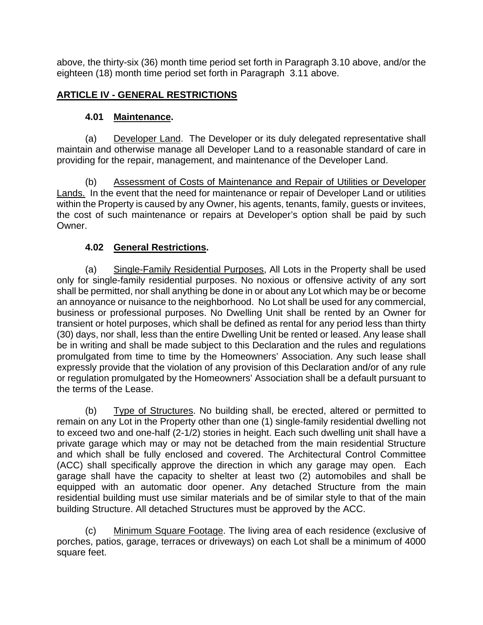above, the thirty-six (36) month time period set forth in Paragraph 3.10 above, and/or the eighteen (18) month time period set forth in Paragraph 3.11 above.

## **ARTICLE IV - GENERAL RESTRICTIONS**

## **4.01 Maintenance.**

(a) Developer Land. The Developer or its duly delegated representative shall maintain and otherwise manage all Developer Land to a reasonable standard of care in providing for the repair, management, and maintenance of the Developer Land.

(b) Assessment of Costs of Maintenance and Repair of Utilities or Developer Lands. In the event that the need for maintenance or repair of Developer Land or utilities within the Property is caused by any Owner, his agents, tenants, family, guests or invitees, the cost of such maintenance or repairs at Developer's option shall be paid by such Owner.

## **4.02 General Restrictions.**

(a) Single-Family Residential Purposes, All Lots in the Property shall be used only for single-family residential purposes. No noxious or offensive activity of any sort shall be permitted, nor shall anything be done in or about any Lot which may be or become an annoyance or nuisance to the neighborhood. No Lot shall be used for any commercial, business or professional purposes. No Dwelling Unit shall be rented by an Owner for transient or hotel purposes, which shall be defined as rental for any period less than thirty (30) days, nor shall, less than the entire Dwelling Unit be rented or leased. Any lease shall be in writing and shall be made subject to this Declaration and the rules and regulations promulgated from time to time by the Homeowners' Association. Any such lease shall expressly provide that the violation of any provision of this Declaration and/or of any rule or regulation promulgated by the Homeowners' Association shall be a default pursuant to the terms of the Lease.

(b) Type of Structures. No building shall, be erected, altered or permitted to remain on any Lot in the Property other than one (1) single-family residential dwelling not to exceed two and one-half (2-1/2) stories in height. Each such dwelling unit shall have a private garage which may or may not be detached from the main residential Structure and which shall be fully enclosed and covered. The Architectural Control Committee (ACC) shall specifically approve the direction in which any garage may open. Each garage shall have the capacity to shelter at least two (2) automobiles and shall be equipped with an automatic door opener. Any detached Structure from the main residential building must use similar materials and be of similar style to that of the main building Structure. All detached Structures must be approved by the ACC.

Minimum Square Footage. The living area of each residence (exclusive of porches, patios, garage, terraces or driveways) on each Lot shall be a minimum of 4000 square feet.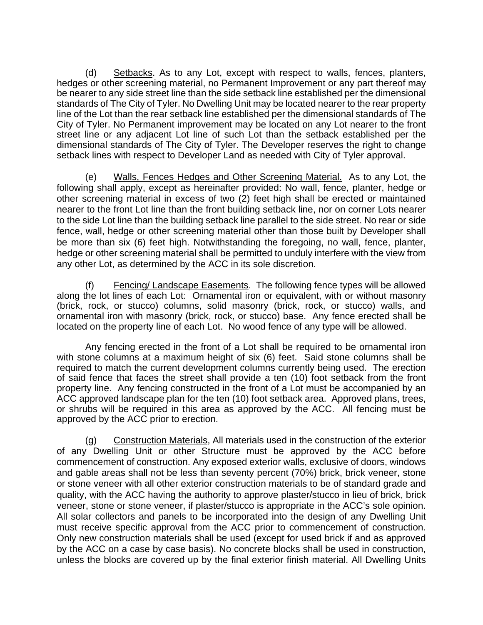(d) Setbacks. As to any Lot, except with respect to walls, fences, planters, hedges or other screening material, no Permanent Improvement or any part thereof may be nearer to any side street line than the side setback line established per the dimensional standards of The City of Tyler. No Dwelling Unit may be located nearer to the rear property line of the Lot than the rear setback line established per the dimensional standards of The City of Tyler. No Permanent improvement may be located on any Lot nearer to the front street line or any adjacent Lot line of such Lot than the setback established per the dimensional standards of The City of Tyler. The Developer reserves the right to change setback lines with respect to Developer Land as needed with City of Tyler approval.

(e) Walls, Fences Hedges and Other Screening Material. As to any Lot, the following shall apply, except as hereinafter provided: No wall, fence, planter, hedge or other screening material in excess of two (2) feet high shall be erected or maintained nearer to the front Lot line than the front building setback line, nor on corner Lots nearer to the side Lot line than the building setback line parallel to the side street. No rear or side fence, wall, hedge or other screening material other than those built by Developer shall be more than six (6) feet high. Notwithstanding the foregoing, no wall, fence, planter, hedge or other screening material shall be permitted to unduly interfere with the view from any other Lot, as determined by the ACC in its sole discretion.

(f) Fencing/ Landscape Easements. The following fence types will be allowed along the lot lines of each Lot: Ornamental iron or equivalent, with or without masonry (brick, rock, or stucco) columns, solid masonry (brick, rock, or stucco) walls, and ornamental iron with masonry (brick, rock, or stucco) base. Any fence erected shall be located on the property line of each Lot. No wood fence of any type will be allowed.

Any fencing erected in the front of a Lot shall be required to be ornamental iron with stone columns at a maximum height of six (6) feet. Said stone columns shall be required to match the current development columns currently being used. The erection of said fence that faces the street shall provide a ten (10) foot setback from the front property line. Any fencing constructed in the front of a Lot must be accompanied by an ACC approved landscape plan for the ten (10) foot setback area. Approved plans, trees, or shrubs will be required in this area as approved by the ACC. All fencing must be approved by the ACC prior to erection.

(g) Construction Materials, All materials used in the construction of the exterior of any Dwelling Unit or other Structure must be approved by the ACC before commencement of construction. Any exposed exterior walls, exclusive of doors, windows and gable areas shall not be less than seventy percent (70%) brick, brick veneer, stone or stone veneer with all other exterior construction materials to be of standard grade and quality, with the ACC having the authority to approve plaster/stucco in lieu of brick, brick veneer, stone or stone veneer, if plaster/stucco is appropriate in the ACC's sole opinion. All solar collectors and panels to be incorporated into the design of any Dwelling Unit must receive specific approval from the ACC prior to commencement of construction. Only new construction materials shall be used (except for used brick if and as approved by the ACC on a case by case basis). No concrete blocks shall be used in construction, unless the blocks are covered up by the final exterior finish material. All Dwelling Units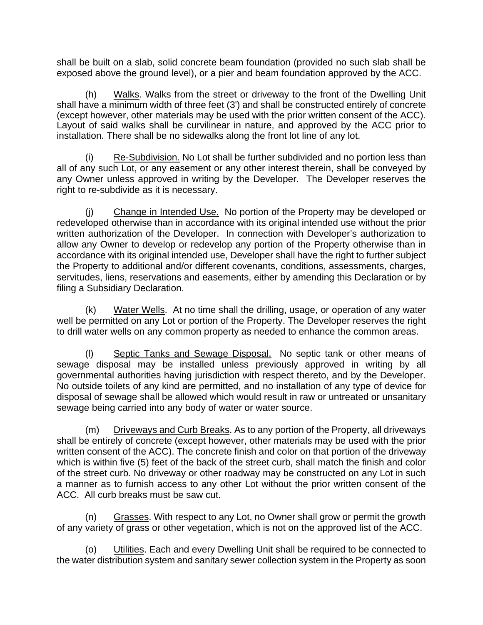shall be built on a slab, solid concrete beam foundation (provided no such slab shall be exposed above the ground level), or a pier and beam foundation approved by the ACC.

(h) Walks. Walks from the street or driveway to the front of the Dwelling Unit shall have a minimum width of three feet (3') and shall be constructed entirely of concrete (except however, other materials may be used with the prior written consent of the ACC). Layout of said walks shall be curvilinear in nature, and approved by the ACC prior to installation. There shall be no sidewalks along the front lot line of any lot.

(i) Re-Subdivision. No Lot shall be further subdivided and no portion less than all of any such Lot, or any easement or any other interest therein, shall be conveyed by any Owner unless approved in writing by the Developer. The Developer reserves the right to re-subdivide as it is necessary.

Change in Intended Use. No portion of the Property may be developed or redeveloped otherwise than in accordance with its original intended use without the prior written authorization of the Developer. In connection with Developer's authorization to allow any Owner to develop or redevelop any portion of the Property otherwise than in accordance with its original intended use, Developer shall have the right to further subject the Property to additional and/or different covenants, conditions, assessments, charges, servitudes, liens, reservations and easements, either by amending this Declaration or by filing a Subsidiary Declaration.

(k) Water Wells. At no time shall the drilling, usage, or operation of any water well be permitted on any Lot or portion of the Property. The Developer reserves the right to drill water wells on any common property as needed to enhance the common areas.

(l) Septic Tanks and Sewage Disposal. No septic tank or other means of sewage disposal may be installed unless previously approved in writing by all governmental authorities having jurisdiction with respect thereto, and by the Developer. No outside toilets of any kind are permitted, and no installation of any type of device for disposal of sewage shall be allowed which would result in raw or untreated or unsanitary sewage being carried into any body of water or water source.

(m) Driveways and Curb Breaks. As to any portion of the Property, all driveways shall be entirely of concrete (except however, other materials may be used with the prior written consent of the ACC). The concrete finish and color on that portion of the driveway which is within five (5) feet of the back of the street curb, shall match the finish and color of the street curb. No driveway or other roadway may be constructed on any Lot in such a manner as to furnish access to any other Lot without the prior written consent of the ACC. All curb breaks must be saw cut.

(n) Grasses. With respect to any Lot, no Owner shall grow or permit the growth of any variety of grass or other vegetation, which is not on the approved list of the ACC.

(o) Utilities. Each and every Dwelling Unit shall be required to be connected to the water distribution system and sanitary sewer collection system in the Property as soon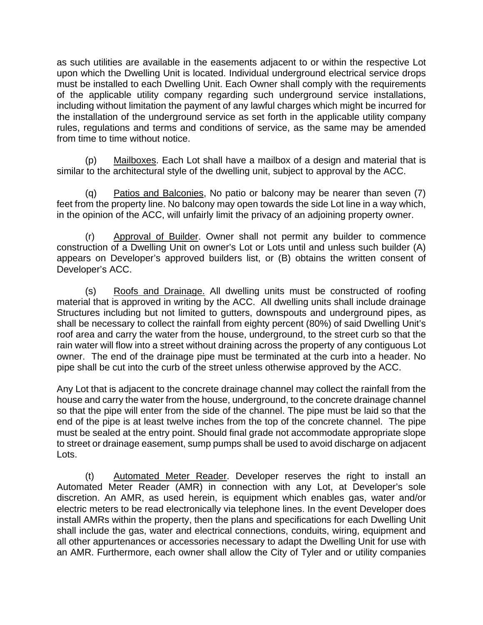as such utilities are available in the easements adjacent to or within the respective Lot upon which the Dwelling Unit is located. Individual underground electrical service drops must be installed to each Dwelling Unit. Each Owner shall comply with the requirements of the applicable utility company regarding such underground service installations, including without limitation the payment of any lawful charges which might be incurred for the installation of the underground service as set forth in the applicable utility company rules, regulations and terms and conditions of service, as the same may be amended from time to time without notice.

(p) Mailboxes. Each Lot shall have a mailbox of a design and material that is similar to the architectural style of the dwelling unit, subject to approval by the ACC.

(q) Patios and Balconies, No patio or balcony may be nearer than seven (7) feet from the property line. No balcony may open towards the side Lot line in a way which, in the opinion of the ACC, will unfairly limit the privacy of an adjoining property owner.

(r) Approval of Builder. Owner shall not permit any builder to commence construction of a Dwelling Unit on owner's Lot or Lots until and unless such builder (A) appears on Developer's approved builders list, or (B) obtains the written consent of Developer's ACC.

(s) Roofs and Drainage. All dwelling units must be constructed of roofing material that is approved in writing by the ACC. All dwelling units shall include drainage Structures including but not limited to gutters, downspouts and underground pipes, as shall be necessary to collect the rainfall from eighty percent (80%) of said Dwelling Unit's roof area and carry the water from the house, underground, to the street curb so that the rain water will flow into a street without draining across the property of any contiguous Lot owner. The end of the drainage pipe must be terminated at the curb into a header. No pipe shall be cut into the curb of the street unless otherwise approved by the ACC.

Any Lot that is adjacent to the concrete drainage channel may collect the rainfall from the house and carry the water from the house, underground, to the concrete drainage channel so that the pipe will enter from the side of the channel. The pipe must be laid so that the end of the pipe is at least twelve inches from the top of the concrete channel. The pipe must be sealed at the entry point. Should final grade not accommodate appropriate slope to street or drainage easement, sump pumps shall be used to avoid discharge on adjacent Lots.

(t) Automated Meter Reader. Developer reserves the right to install an Automated Meter Reader (AMR) in connection with any Lot, at Developer's sole discretion. An AMR, as used herein, is equipment which enables gas, water and/or electric meters to be read electronically via telephone lines. In the event Developer does install AMRs within the property, then the plans and specifications for each Dwelling Unit shall include the gas, water and electrical connections, conduits, wiring, equipment and all other appurtenances or accessories necessary to adapt the Dwelling Unit for use with an AMR. Furthermore, each owner shall allow the City of Tyler and or utility companies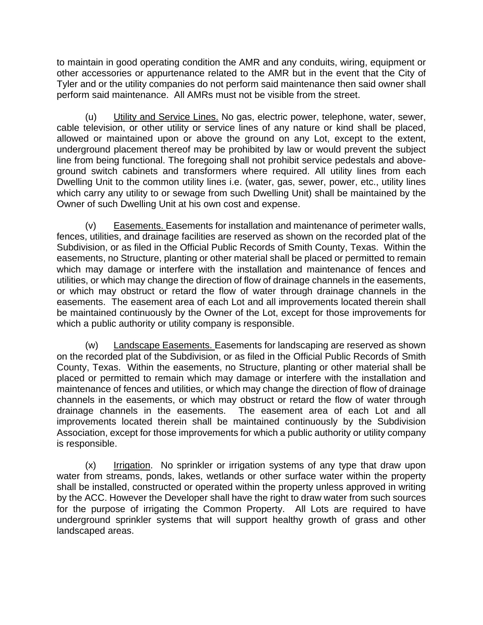to maintain in good operating condition the AMR and any conduits, wiring, equipment or other accessories or appurtenance related to the AMR but in the event that the City of Tyler and or the utility companies do not perform said maintenance then said owner shall perform said maintenance. All AMRs must not be visible from the street.

(u) Utility and Service Lines. No gas, electric power, telephone, water, sewer, cable television, or other utility or service lines of any nature or kind shall be placed, allowed or maintained upon or above the ground on any Lot, except to the extent, underground placement thereof may be prohibited by law or would prevent the subject line from being functional. The foregoing shall not prohibit service pedestals and aboveground switch cabinets and transformers where required. All utility lines from each Dwelling Unit to the common utility lines i.e. (water, gas, sewer, power, etc., utility lines which carry any utility to or sewage from such Dwelling Unit) shall be maintained by the Owner of such Dwelling Unit at his own cost and expense.

(v) Easements. Easements for installation and maintenance of perimeter walls, fences, utilities, and drainage facilities are reserved as shown on the recorded plat of the Subdivision, or as filed in the Official Public Records of Smith County, Texas. Within the easements, no Structure, planting or other material shall be placed or permitted to remain which may damage or interfere with the installation and maintenance of fences and utilities, or which may change the direction of flow of drainage channels in the easements, or which may obstruct or retard the flow of water through drainage channels in the easements. The easement area of each Lot and all improvements located therein shall be maintained continuously by the Owner of the Lot, except for those improvements for which a public authority or utility company is responsible.

(w) Landscape Easements. Easements for landscaping are reserved as shown on the recorded plat of the Subdivision, or as filed in the Official Public Records of Smith County, Texas. Within the easements, no Structure, planting or other material shall be placed or permitted to remain which may damage or interfere with the installation and maintenance of fences and utilities, or which may change the direction of flow of drainage channels in the easements, or which may obstruct or retard the flow of water through drainage channels in the easements. The easement area of each Lot and all improvements located therein shall be maintained continuously by the Subdivision Association, except for those improvements for which a public authority or utility company is responsible.

(x) Irrigation. No sprinkler or irrigation systems of any type that draw upon water from streams, ponds, lakes, wetlands or other surface water within the property shall be installed, constructed or operated within the property unless approved in writing by the ACC. However the Developer shall have the right to draw water from such sources for the purpose of irrigating the Common Property. All Lots are required to have underground sprinkler systems that will support healthy growth of grass and other landscaped areas.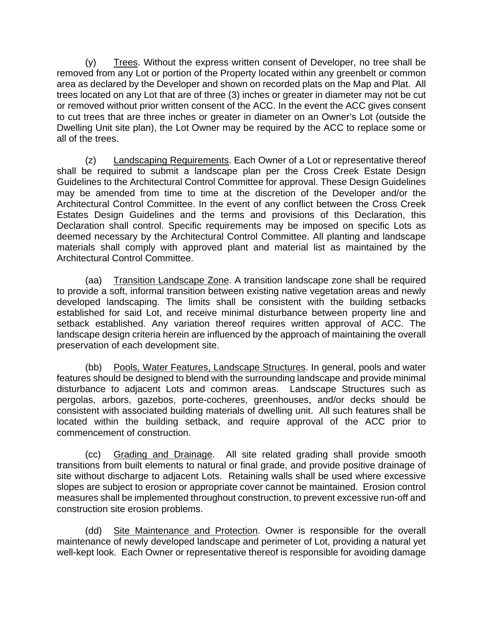(y) Trees. Without the express written consent of Developer, no tree shall be removed from any Lot or portion of the Property located within any greenbelt or common area as declared by the Developer and shown on recorded plats on the Map and Plat. All trees located on any Lot that are of three (3) inches or greater in diameter may not be cut or removed without prior written consent of the ACC. In the event the ACC gives consent to cut trees that are three inches or greater in diameter on an Owner's Lot (outside the Dwelling Unit site plan), the Lot Owner may be required by the ACC to replace some or all of the trees.

(z) Landscaping Requirements. Each Owner of a Lot or representative thereof shall be required to submit a landscape plan per the Cross Creek Estate Design Guidelines to the Architectural Control Committee for approval. These Design Guidelines may be amended from time to time at the discretion of the Developer and/or the Architectural Control Committee. In the event of any conflict between the Cross Creek Estates Design Guidelines and the terms and provisions of this Declaration, this Declaration shall control. Specific requirements may be imposed on specific Lots as deemed necessary by the Architectural Control Committee. All planting and landscape materials shall comply with approved plant and material list as maintained by the Architectural Control Committee.

(aa) Transition Landscape Zone. A transition landscape zone shall be required to provide a soft, informal transition between existing native vegetation areas and newly developed landscaping. The limits shall be consistent with the building setbacks established for said Lot, and receive minimal disturbance between property line and setback established. Any variation thereof requires written approval of ACC. The landscape design criteria herein are influenced by the approach of maintaining the overall preservation of each development site.

(bb) Pools, Water Features, Landscape Structures. In general, pools and water features should be designed to blend with the surrounding landscape and provide minimal disturbance to adjacent Lots and common areas. Landscape Structures such as pergolas, arbors, gazebos, porte-cocheres, greenhouses, and/or decks should be consistent with associated building materials of dwelling unit. All such features shall be located within the building setback, and require approval of the ACC prior to commencement of construction.

(cc) Grading and Drainage. All site related grading shall provide smooth transitions from built elements to natural or final grade, and provide positive drainage of site without discharge to adjacent Lots. Retaining walls shall be used where excessive slopes are subject to erosion or appropriate cover cannot be maintained. Erosion control measures shall be implemented throughout construction, to prevent excessive run-off and construction site erosion problems.

(dd) Site Maintenance and Protection. Owner is responsible for the overall maintenance of newly developed landscape and perimeter of Lot, providing a natural yet well-kept look. Each Owner or representative thereof is responsible for avoiding damage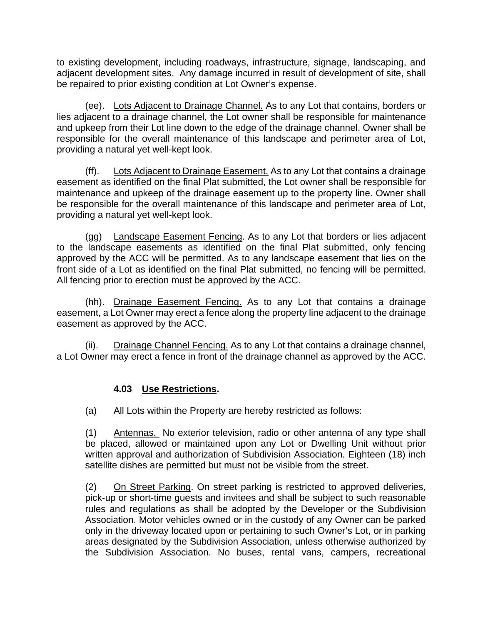to existing development, including roadways, infrastructure, signage, landscaping, and adjacent development sites. Any damage incurred in result of development of site, shall be repaired to prior existing condition at Lot Owner's expense.

(ee). Lots Adjacent to Drainage Channel. As to any Lot that contains, borders or lies adjacent to a drainage channel, the Lot owner shall be responsible for maintenance and upkeep from their Lot line down to the edge of the drainage channel. Owner shall be responsible for the overall maintenance of this landscape and perimeter area of Lot, providing a natural yet well-kept look.

(ff). Lots Adjacent to Drainage Easement. As to any Lot that contains a drainage easement as identified on the final Plat submitted, the Lot owner shall be responsible for maintenance and upkeep of the drainage easement up to the property line. Owner shall be responsible for the overall maintenance of this landscape and perimeter area of Lot, providing a natural yet well-kept look.

(gg) Landscape Easement Fencing. As to any Lot that borders or lies adjacent to the landscape easements as identified on the final Plat submitted, only fencing approved by the ACC will be permitted. As to any landscape easement that lies on the front side of a Lot as identified on the final Plat submitted, no fencing will be permitted. All fencing prior to erection must be approved by the ACC.

(hh). Drainage Easement Fencing. As to any Lot that contains a drainage easement, a Lot Owner may erect a fence along the property line adjacent to the drainage easement as approved by the ACC.

(ii). Drainage Channel Fencing. As to any Lot that contains a drainage channel, a Lot Owner may erect a fence in front of the drainage channel as approved by the ACC.

### **4.03 Use Restrictions.**

(a) All Lots within the Property are hereby restricted as follows:

(1) Antennas. No exterior television, radio or other antenna of any type shall be placed, allowed or maintained upon any Lot or Dwelling Unit without prior written approval and authorization of Subdivision Association. Eighteen (18) inch satellite dishes are permitted but must not be visible from the street.

(2) On Street Parking. On street parking is restricted to approved deliveries, pick-up or short-time guests and invitees and shall be subject to such reasonable rules and regulations as shall be adopted by the Developer or the Subdivision Association. Motor vehicles owned or in the custody of any Owner can be parked only in the driveway located upon or pertaining to such Owner's Lot, or in parking areas designated by the Subdivision Association, unless otherwise authorized by the Subdivision Association. No buses, rental vans, campers, recreational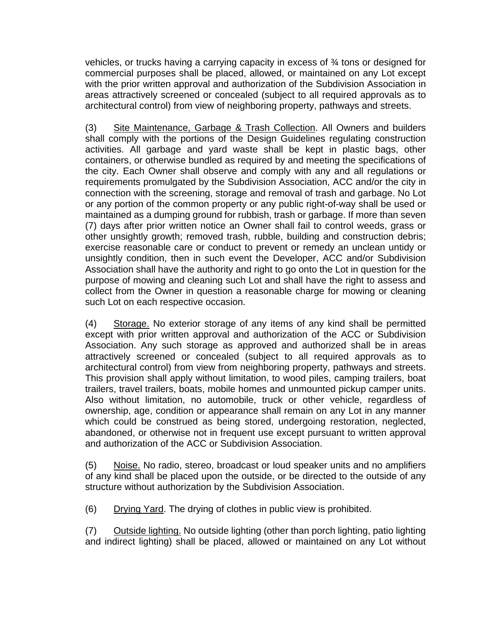vehicles, or trucks having a carrying capacity in excess of ¾ tons or designed for commercial purposes shall be placed, allowed, or maintained on any Lot except with the prior written approval and authorization of the Subdivision Association in areas attractively screened or concealed (subject to all required approvals as to architectural control) from view of neighboring property, pathways and streets.

(3) Site Maintenance, Garbage & Trash Collection. All Owners and builders shall comply with the portions of the Design Guidelines regulating construction activities. All garbage and yard waste shall be kept in plastic bags, other containers, or otherwise bundled as required by and meeting the specifications of the city. Each Owner shall observe and comply with any and all regulations or requirements promulgated by the Subdivision Association, ACC and/or the city in connection with the screening, storage and removal of trash and garbage. No Lot or any portion of the common property or any public right-of-way shall be used or maintained as a dumping ground for rubbish, trash or garbage. If more than seven (7) days after prior written notice an Owner shall fail to control weeds, grass or other unsightly growth; removed trash, rubble, building and construction debris; exercise reasonable care or conduct to prevent or remedy an unclean untidy or unsightly condition, then in such event the Developer, ACC and/or Subdivision Association shall have the authority and right to go onto the Lot in question for the purpose of mowing and cleaning such Lot and shall have the right to assess and collect from the Owner in question a reasonable charge for mowing or cleaning such Lot on each respective occasion.

(4) Storage. No exterior storage of any items of any kind shall be permitted except with prior written approval and authorization of the ACC or Subdivision Association. Any such storage as approved and authorized shall be in areas attractively screened or concealed (subject to all required approvals as to architectural control) from view from neighboring property, pathways and streets. This provision shall apply without limitation, to wood piles, camping trailers, boat trailers, travel trailers, boats, mobile homes and unmounted pickup camper units. Also without limitation, no automobile, truck or other vehicle, regardless of ownership, age, condition or appearance shall remain on any Lot in any manner which could be construed as being stored, undergoing restoration, neglected, abandoned, or otherwise not in frequent use except pursuant to written approval and authorization of the ACC or Subdivision Association.

(5) Noise. No radio, stereo, broadcast or loud speaker units and no amplifiers of any kind shall be placed upon the outside, or be directed to the outside of any structure without authorization by the Subdivision Association.

(6) Drying Yard. The drying of clothes in public view is prohibited.

(7) Outside lighting. No outside lighting (other than porch lighting, patio lighting and indirect lighting) shall be placed, allowed or maintained on any Lot without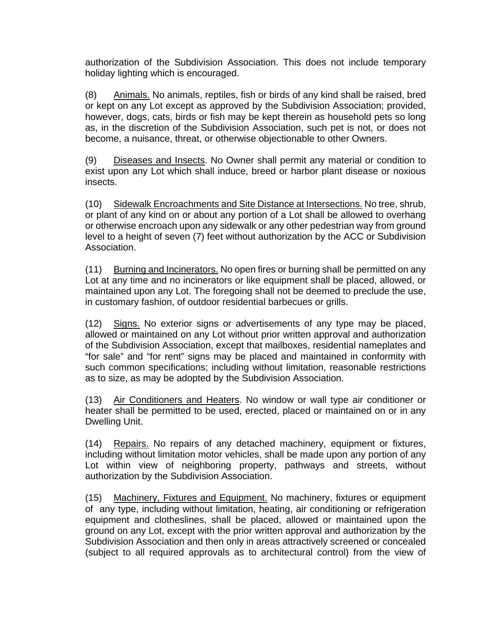authorization of the Subdivision Association. This does not include temporary holiday lighting which is encouraged.

(8) Animals. No animals, reptiles, fish or birds of any kind shall be raised, bred or kept on any Lot except as approved by the Subdivision Association; provided, however, dogs, cats, birds or fish may be kept therein as household pets so long as, in the discretion of the Subdivision Association, such pet is not, or does not become, a nuisance, threat, or otherwise objectionable to other Owners.

(9) Diseases and Insects. No Owner shall permit any material or condition to exist upon any Lot which shall induce, breed or harbor plant disease or noxious insects.

(10) Sidewalk Encroachments and Site Distance at Intersections. No tree, shrub, or plant of any kind on or about any portion of a Lot shall be allowed to overhang or otherwise encroach upon any sidewalk or any other pedestrian way from ground level to a height of seven (7) feet without authorization by the ACC or Subdivision Association.

(11) Burning and Incinerators. No open fires or burning shall be permitted on any Lot at any time and no incinerators or like equipment shall be placed, allowed, or maintained upon any Lot. The foregoing shall not be deemed to preclude the use, in customary fashion, of outdoor residential barbecues or grills.

(12) Signs. No exterior signs or advertisements of any type may be placed, allowed or maintained on any Lot without prior written approval and authorization of the Subdivision Association, except that mailboxes, residential nameplates and "for sale" and "for rent" signs may be placed and maintained in conformity with such common specifications; including without limitation, reasonable restrictions as to size, as may be adopted by the Subdivision Association.

(13) Air Conditioners and Heaters. No window or wall type air conditioner or heater shall be permitted to be used, erected, placed or maintained on or in any Dwelling Unit.

(14) Repairs. No repairs of any detached machinery, equipment or fixtures, including without limitation motor vehicles, shall be made upon any portion of any Lot within view of neighboring property, pathways and streets, without authorization by the Subdivision Association.

(15) Machinery, Fixtures and Equipment. No machinery, fixtures or equipment of any type, including without limitation, heating, air conditioning or refrigeration equipment and clotheslines, shall be placed, allowed or maintained upon the ground on any Lot, except with the prior written approval and authorization by the Subdivision Association and then only in areas attractively screened or concealed (subject to all required approvals as to architectural control) from the view of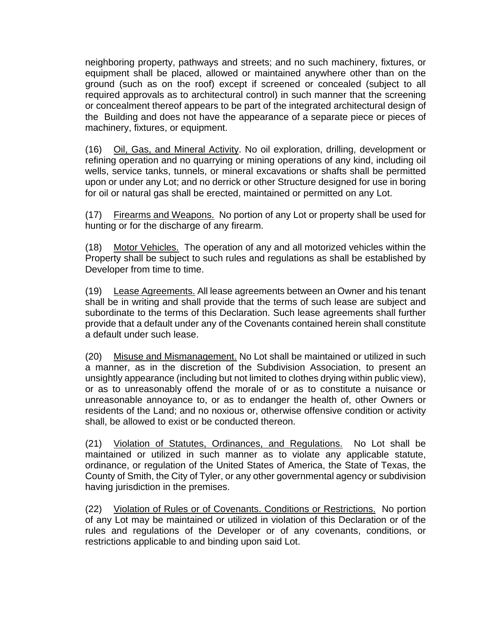neighboring property, pathways and streets; and no such machinery, fixtures, or equipment shall be placed, allowed or maintained anywhere other than on the ground (such as on the roof) except if screened or concealed (subject to all required approvals as to architectural control) in such manner that the screening or concealment thereof appears to be part of the integrated architectural design of the Building and does not have the appearance of a separate piece or pieces of machinery, fixtures, or equipment.

(16) Oil, Gas, and Mineral Activity. No oil exploration, drilling, development or refining operation and no quarrying or mining operations of any kind, including oil wells, service tanks, tunnels, or mineral excavations or shafts shall be permitted upon or under any Lot; and no derrick or other Structure designed for use in boring for oil or natural gas shall be erected, maintained or permitted on any Lot.

(17) Firearms and Weapons. No portion of any Lot or property shall be used for hunting or for the discharge of any firearm.

(18) Motor Vehicles. The operation of any and all motorized vehicles within the Property shall be subject to such rules and regulations as shall be established by Developer from time to time.

(19) Lease Agreements. All lease agreements between an Owner and his tenant shall be in writing and shall provide that the terms of such lease are subject and subordinate to the terms of this Declaration. Such lease agreements shall further provide that a default under any of the Covenants contained herein shall constitute a default under such lease.

(20) Misuse and Mismanagement. No Lot shall be maintained or utilized in such a manner, as in the discretion of the Subdivision Association, to present an unsightly appearance (including but not limited to clothes drying within public view), or as to unreasonably offend the morale of or as to constitute a nuisance or unreasonable annoyance to, or as to endanger the health of, other Owners or residents of the Land; and no noxious or, otherwise offensive condition or activity shall, be allowed to exist or be conducted thereon.

(21) Violation of Statutes, Ordinances, and Regulations. No Lot shall be maintained or utilized in such manner as to violate any applicable statute, ordinance, or regulation of the United States of America, the State of Texas, the County of Smith, the City of Tyler, or any other governmental agency or subdivision having jurisdiction in the premises.

(22) Violation of Rules or of Covenants. Conditions or Restrictions. No portion of any Lot may be maintained or utilized in violation of this Declaration or of the rules and regulations of the Developer or of any covenants, conditions, or restrictions applicable to and binding upon said Lot.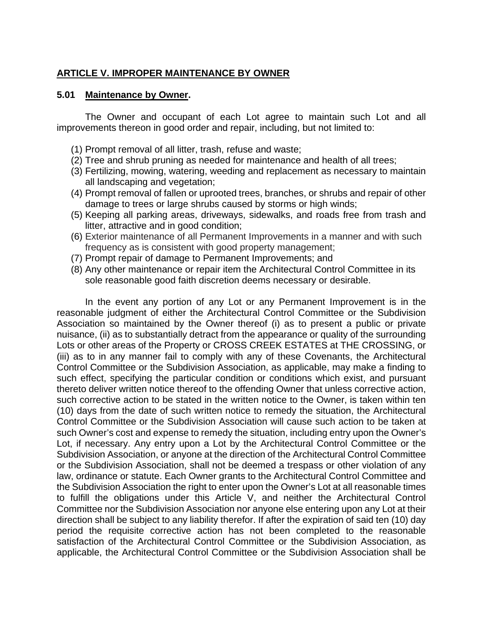#### **ARTICLE V. IMPROPER MAINTENANCE BY OWNER**

#### **5.01 Maintenance by Owner.**

The Owner and occupant of each Lot agree to maintain such Lot and all improvements thereon in good order and repair, including, but not limited to:

- (1) Prompt removal of all litter, trash, refuse and waste;
- (2) Tree and shrub pruning as needed for maintenance and health of all trees;
- (3) Fertilizing, mowing, watering, weeding and replacement as necessary to maintain all landscaping and vegetation;
- (4) Prompt removal of fallen or uprooted trees, branches, or shrubs and repair of other damage to trees or large shrubs caused by storms or high winds;
- (5) Keeping all parking areas, driveways, sidewalks, and roads free from trash and litter, attractive and in good condition;
- (6) Exterior maintenance of all Permanent Improvements in a manner and with such frequency as is consistent with good property management;
- (7) Prompt repair of damage to Permanent Improvements; and
- (8) Any other maintenance or repair item the Architectural Control Committee in its sole reasonable good faith discretion deems necessary or desirable.

In the event any portion of any Lot or any Permanent Improvement is in the reasonable judgment of either the Architectural Control Committee or the Subdivision Association so maintained by the Owner thereof (i) as to present a public or private nuisance, (ii) as to substantially detract from the appearance or quality of the surrounding Lots or other areas of the Property or CROSS CREEK ESTATES at THE CROSSING, or (iii) as to in any manner fail to comply with any of these Covenants, the Architectural Control Committee or the Subdivision Association, as applicable, may make a finding to such effect, specifying the particular condition or conditions which exist, and pursuant thereto deliver written notice thereof to the offending Owner that unless corrective action, such corrective action to be stated in the written notice to the Owner, is taken within ten (10) days from the date of such written notice to remedy the situation, the Architectural Control Committee or the Subdivision Association will cause such action to be taken at such Owner's cost and expense to remedy the situation, including entry upon the Owner's Lot, if necessary. Any entry upon a Lot by the Architectural Control Committee or the Subdivision Association, or anyone at the direction of the Architectural Control Committee or the Subdivision Association, shall not be deemed a trespass or other violation of any law, ordinance or statute. Each Owner grants to the Architectural Control Committee and the Subdivision Association the right to enter upon the Owner's Lot at all reasonable times to fulfill the obligations under this Article V, and neither the Architectural Control Committee nor the Subdivision Association nor anyone else entering upon any Lot at their direction shall be subject to any liability therefor. If after the expiration of said ten (10) day period the requisite corrective action has not been completed to the reasonable satisfaction of the Architectural Control Committee or the Subdivision Association, as applicable, the Architectural Control Committee or the Subdivision Association shall be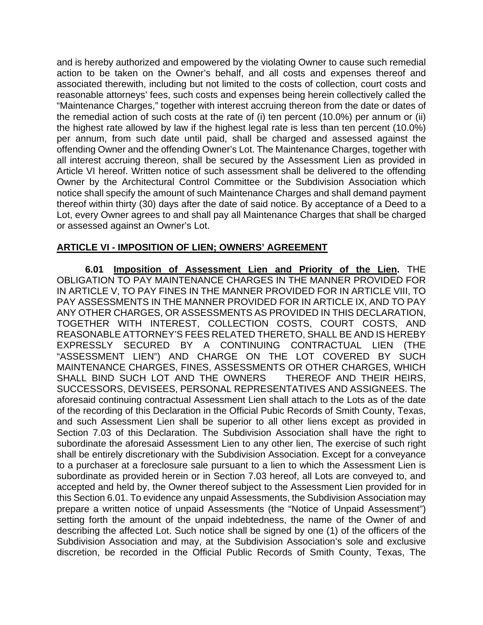and is hereby authorized and empowered by the violating Owner to cause such remedial action to be taken on the Owner's behalf, and all costs and expenses thereof and associated therewith, including but not limited to the costs of collection, court costs and reasonable attorneys' fees, such costs and expenses being herein collectively called the "Maintenance Charges," together with interest accruing thereon from the date or dates of the remedial action of such costs at the rate of (i) ten percent (10.0%) per annum or (ii) the highest rate allowed by law if the highest legal rate is less than ten percent (10.0%) per annum, from such date until paid, shall be charged and assessed against the offending Owner and the offending Owner's Lot. The Maintenance Charges, together with all interest accruing thereon, shall be secured by the Assessment Lien as provided in Article VI hereof. Written notice of such assessment shall be delivered to the offending Owner by the Architectural Control Committee or the Subdivision Association which notice shall specify the amount of such Maintenance Charges and shall demand payment thereof within thirty (30) days after the date of said notice. By acceptance of a Deed to a Lot, every Owner agrees to and shall pay all Maintenance Charges that shall be charged or assessed against an Owner's Lot.

#### **ARTICLE VI - IMPOSITION OF LIEN; OWNERS' AGREEMENT**

**6.01 Imposition of Assessment Lien and Priority of the Lien.** THE OBLIGATION TO PAY MAINTENANCE CHARGES IN THE MANNER PROVIDED FOR IN ARTICLE V, TO PAY FINES IN THE MANNER PROVIDED FOR IN ARTICLE VIII, TO PAY ASSESSMENTS IN THE MANNER PROVIDED FOR IN ARTICLE IX, AND TO PAY ANY OTHER CHARGES, OR ASSESSMENTS AS PROVIDED IN THIS DECLARATION, TOGETHER WITH INTEREST, COLLECTION COSTS, COURT COSTS, AND REASONABLE ATTORNEY'S FEES RELATED THERETO, SHALL BE AND IS HEREBY EXPRESSLY SECURED BY A CONTINUING CONTRACTUAL LIEN (THE "ASSESSMENT LIEN") AND CHARGE ON THE LOT COVERED BY SUCH MAINTENANCE CHARGES, FINES, ASSESSMENTS OR OTHER CHARGES, WHICH SHALL BIND SUCH LOT AND THE OWNERS THEREOF AND THEIR HEIRS, SUCCESSORS, DEVISEES, PERSONAL REPRESENTATIVES AND ASSIGNEES. The aforesaid continuing contractual Assessment Lien shall attach to the Lots as of the date of the recording of this Declaration in the Official Pubic Records of Smith County, Texas, and such Assessment Lien shall be superior to all other liens except as provided in Section 7.03 of this Declaration. The Subdivision Association shall have the right to subordinate the aforesaid Assessment Lien to any other lien, The exercise of such right shall be entirely discretionary with the Subdivision Association. Except for a conveyance to a purchaser at a foreclosure sale pursuant to a lien to which the Assessment Lien is subordinate as provided herein or in Section 7.03 hereof, all Lots are conveyed to, and accepted and held by, the Owner thereof subject to the Assessment Lien provided for in this Section 6.01. To evidence any unpaid Assessments, the Subdivision Association may prepare a written notice of unpaid Assessments (the "Notice of Unpaid Assessment") setting forth the amount of the unpaid indebtedness, the name of the Owner of and describing the affected Lot. Such notice shall be signed by one (1) of the officers of the Subdivision Association and may, at the Subdivision Association's sole and exclusive discretion, be recorded in the Official Public Records of Smith County, Texas, The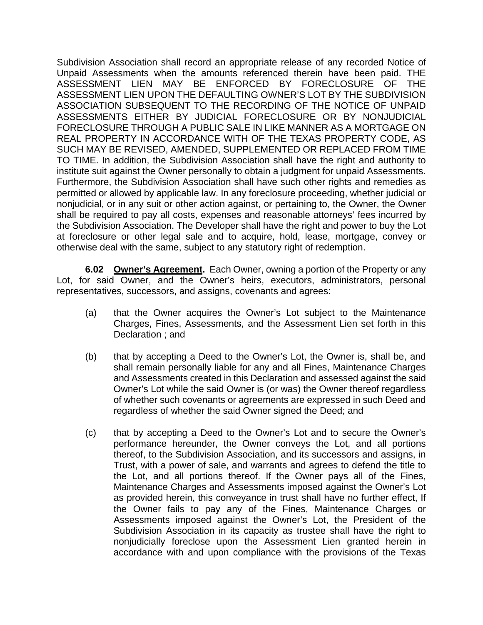Subdivision Association shall record an appropriate release of any recorded Notice of Unpaid Assessments when the amounts referenced therein have been paid. THE ASSESSMENT LIEN MAY BE ENFORCED BY FORECLOSURE OF THE ASSESSMENT LIEN UPON THE DEFAULTING OWNER'S LOT BY THE SUBDIVISION ASSOCIATION SUBSEQUENT TO THE RECORDING OF THE NOTICE OF UNPAID ASSESSMENTS EITHER BY JUDICIAL FORECLOSURE OR BY NONJUDICIAL FORECLOSURE THROUGH A PUBLIC SALE IN LIKE MANNER AS A MORTGAGE ON REAL PROPERTY IN ACCORDANCE WITH OF THE TEXAS PROPERTY CODE, AS SUCH MAY BE REVISED, AMENDED, SUPPLEMENTED OR REPLACED FROM TIME TO TIME. In addition, the Subdivision Association shall have the right and authority to institute suit against the Owner personally to obtain a judgment for unpaid Assessments. Furthermore, the Subdivision Association shall have such other rights and remedies as permitted or allowed by applicable law. In any foreclosure proceeding, whether judicial or nonjudicial, or in any suit or other action against, or pertaining to, the Owner, the Owner shall be required to pay all costs, expenses and reasonable attorneys' fees incurred by the Subdivision Association. The Developer shall have the right and power to buy the Lot at foreclosure or other legal sale and to acquire, hold, lease, mortgage, convey or otherwise deal with the same, subject to any statutory right of redemption.

**6.02 Owner's Agreement.** Each Owner, owning a portion of the Property or any Lot, for said Owner, and the Owner's heirs, executors, administrators, personal representatives, successors, and assigns, covenants and agrees:

- (a) that the Owner acquires the Owner's Lot subject to the Maintenance Charges, Fines, Assessments, and the Assessment Lien set forth in this Declaration ; and
- (b) that by accepting a Deed to the Owner's Lot, the Owner is, shall be, and shall remain personally liable for any and all Fines, Maintenance Charges and Assessments created in this Declaration and assessed against the said Owner's Lot while the said Owner is (or was) the Owner thereof regardless of whether such covenants or agreements are expressed in such Deed and regardless of whether the said Owner signed the Deed; and
- (c) that by accepting a Deed to the Owner's Lot and to secure the Owner's performance hereunder, the Owner conveys the Lot, and all portions thereof, to the Subdivision Association, and its successors and assigns, in Trust, with a power of sale, and warrants and agrees to defend the title to the Lot, and all portions thereof. If the Owner pays all of the Fines, Maintenance Charges and Assessments imposed against the Owner's Lot as provided herein, this conveyance in trust shall have no further effect, If the Owner fails to pay any of the Fines, Maintenance Charges or Assessments imposed against the Owner's Lot, the President of the Subdivision Association in its capacity as trustee shall have the right to nonjudicially foreclose upon the Assessment Lien granted herein in accordance with and upon compliance with the provisions of the Texas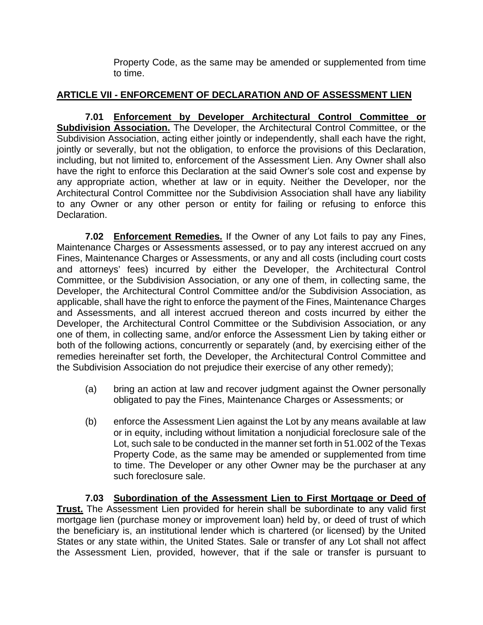Property Code, as the same may be amended or supplemented from time to time.

## **ARTICLE VII - ENFORCEMENT OF DECLARATION AND OF ASSESSMENT LIEN**

**7.01 Enforcement by Developer Architectural Control Committee or Subdivision Association.** The Developer, the Architectural Control Committee, or the Subdivision Association, acting either jointly or independently, shall each have the right, jointly or severally, but not the obligation, to enforce the provisions of this Declaration, including, but not limited to, enforcement of the Assessment Lien. Any Owner shall also have the right to enforce this Declaration at the said Owner's sole cost and expense by any appropriate action, whether at law or in equity. Neither the Developer, nor the Architectural Control Committee nor the Subdivision Association shall have any liability to any Owner or any other person or entity for failing or refusing to enforce this Declaration.

**7.02 Enforcement Remedies.** If the Owner of any Lot fails to pay any Fines, Maintenance Charges or Assessments assessed, or to pay any interest accrued on any Fines, Maintenance Charges or Assessments, or any and all costs (including court costs and attorneys' fees) incurred by either the Developer, the Architectural Control Committee, or the Subdivision Association, or any one of them, in collecting same, the Developer, the Architectural Control Committee and/or the Subdivision Association, as applicable, shall have the right to enforce the payment of the Fines, Maintenance Charges and Assessments, and all interest accrued thereon and costs incurred by either the Developer, the Architectural Control Committee or the Subdivision Association, or any one of them, in collecting same, and/or enforce the Assessment Lien by taking either or both of the following actions, concurrently or separately (and, by exercising either of the remedies hereinafter set forth, the Developer, the Architectural Control Committee and the Subdivision Association do not prejudice their exercise of any other remedy);

- (a) bring an action at law and recover judgment against the Owner personally obligated to pay the Fines, Maintenance Charges or Assessments; or
- (b) enforce the Assessment Lien against the Lot by any means available at law or in equity, including without limitation a nonjudicial foreclosure sale of the Lot, such sale to be conducted in the manner set forth in 51.002 of the Texas Property Code, as the same may be amended or supplemented from time to time. The Developer or any other Owner may be the purchaser at any such foreclosure sale.

**7.03 Subordination of the Assessment Lien to First Mortgage or Deed of Trust.** The Assessment Lien provided for herein shall be subordinate to any valid first mortgage lien (purchase money or improvement loan) held by, or deed of trust of which the beneficiary is, an institutional lender which is chartered (or licensed) by the United States or any state within, the United States. Sale or transfer of any Lot shall not affect the Assessment Lien, provided, however, that if the sale or transfer is pursuant to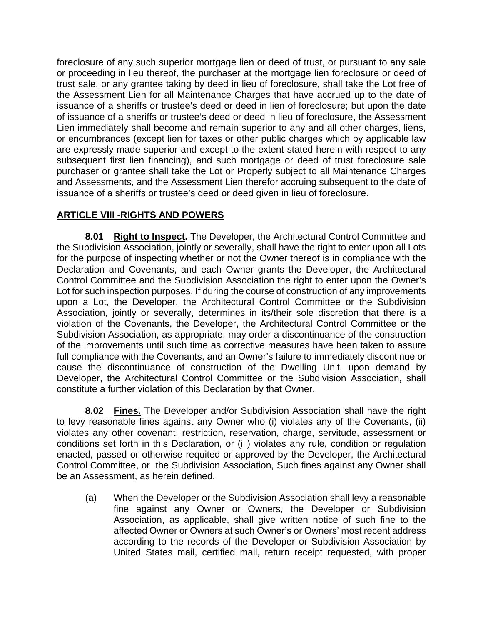foreclosure of any such superior mortgage lien or deed of trust, or pursuant to any sale or proceeding in lieu thereof, the purchaser at the mortgage lien foreclosure or deed of trust sale, or any grantee taking by deed in lieu of foreclosure, shall take the Lot free of the Assessment Lien for all Maintenance Charges that have accrued up to the date of issuance of a sheriffs or trustee's deed or deed in lien of foreclosure; but upon the date of issuance of a sheriffs or trustee's deed or deed in lieu of foreclosure, the Assessment Lien immediately shall become and remain superior to any and all other charges, liens, or encumbrances (except lien for taxes or other public charges which by applicable law are expressly made superior and except to the extent stated herein with respect to any subsequent first lien financing), and such mortgage or deed of trust foreclosure sale purchaser or grantee shall take the Lot or Properly subject to all Maintenance Charges and Assessments, and the Assessment Lien therefor accruing subsequent to the date of issuance of a sheriffs or trustee's deed or deed given in lieu of foreclosure.

### **ARTICLE VIII -RIGHTS AND POWERS**

**8.01 Right to Inspect.** The Developer, the Architectural Control Committee and the Subdivision Association, jointly or severally, shall have the right to enter upon all Lots for the purpose of inspecting whether or not the Owner thereof is in compliance with the Declaration and Covenants, and each Owner grants the Developer, the Architectural Control Committee and the Subdivision Association the right to enter upon the Owner's Lot for such inspection purposes. If during the course of construction of any improvements upon a Lot, the Developer, the Architectural Control Committee or the Subdivision Association, jointly or severally, determines in its/their sole discretion that there is a violation of the Covenants, the Developer, the Architectural Control Committee or the Subdivision Association, as appropriate, may order a discontinuance of the construction of the improvements until such time as corrective measures have been taken to assure full compliance with the Covenants, and an Owner's failure to immediately discontinue or cause the discontinuance of construction of the Dwelling Unit, upon demand by Developer, the Architectural Control Committee or the Subdivision Association, shall constitute a further violation of this Declaration by that Owner.

**8.02 Fines.** The Developer and/or Subdivision Association shall have the right to levy reasonable fines against any Owner who (i) violates any of the Covenants, (ii) violates any other covenant, restriction, reservation, charge, servitude, assessment or conditions set forth in this Declaration, or (iii) violates any rule, condition or regulation enacted, passed or otherwise requited or approved by the Developer, the Architectural Control Committee, or the Subdivision Association, Such fines against any Owner shall be an Assessment, as herein defined.

(a) When the Developer or the Subdivision Association shall levy a reasonable fine against any Owner or Owners, the Developer or Subdivision Association, as applicable, shall give written notice of such fine to the affected Owner or Owners at such Owner's or Owners' most recent address according to the records of the Developer or Subdivision Association by United States mail, certified mail, return receipt requested, with proper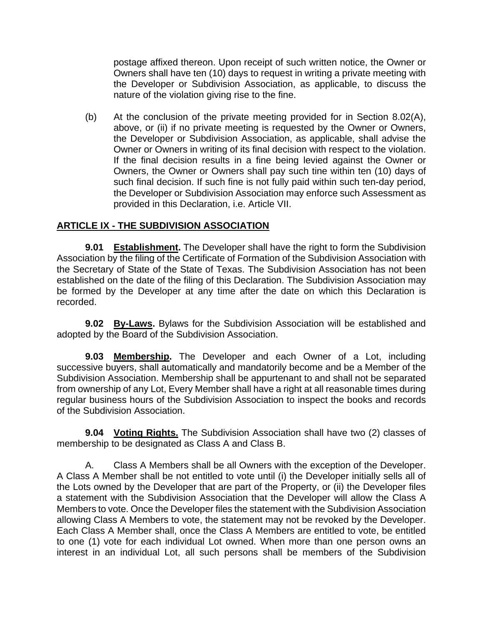postage affixed thereon. Upon receipt of such written notice, the Owner or Owners shall have ten (10) days to request in writing a private meeting with the Developer or Subdivision Association, as applicable, to discuss the nature of the violation giving rise to the fine.

(b) At the conclusion of the private meeting provided for in Section 8.02(A), above, or (ii) if no private meeting is requested by the Owner or Owners, the Developer or Subdivision Association, as applicable, shall advise the Owner or Owners in writing of its final decision with respect to the violation. If the final decision results in a fine being levied against the Owner or Owners, the Owner or Owners shall pay such tine within ten (10) days of such final decision. If such fine is not fully paid within such ten-day period, the Developer or Subdivision Association may enforce such Assessment as provided in this Declaration, i.e. Article VII.

#### **ARTICLE IX - THE SUBDIVISION ASSOCIATION**

**9.01 Establishment.** The Developer shall have the right to form the Subdivision Association by the filing of the Certificate of Formation of the Subdivision Association with the Secretary of State of the State of Texas. The Subdivision Association has not been established on the date of the filing of this Declaration. The Subdivision Association may be formed by the Developer at any time after the date on which this Declaration is recorded.

**9.02 By-Laws.** Bylaws for the Subdivision Association will be established and adopted by the Board of the Subdivision Association.

**9.03 Membership.** The Developer and each Owner of a Lot, including successive buyers, shall automatically and mandatorily become and be a Member of the Subdivision Association. Membership shall be appurtenant to and shall not be separated from ownership of any Lot, Every Member shall have a right at all reasonable times during regular business hours of the Subdivision Association to inspect the books and records of the Subdivision Association.

**9.04 Voting Rights.** The Subdivision Association shall have two (2) classes of membership to be designated as Class A and Class B.

A. Class A Members shall be all Owners with the exception of the Developer. A Class A Member shall be not entitled to vote until (i) the Developer initially sells all of the Lots owned by the Developer that are part of the Property, or (ii) the Developer files a statement with the Subdivision Association that the Developer will allow the Class A Members to vote. Once the Developer files the statement with the Subdivision Association allowing Class A Members to vote, the statement may not be revoked by the Developer. Each Class A Member shall, once the Class A Members are entitled to vote, be entitled to one (1) vote for each individual Lot owned. When more than one person owns an interest in an individual Lot, all such persons shall be members of the Subdivision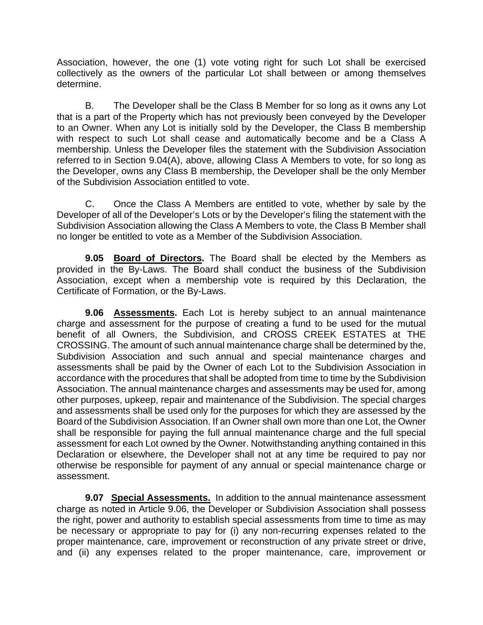Association, however, the one (1) vote voting right for such Lot shall be exercised collectively as the owners of the particular Lot shall between or among themselves determine.

B. The Developer shall be the Class B Member for so long as it owns any Lot that is a part of the Property which has not previously been conveyed by the Developer to an Owner. When any Lot is initially sold by the Developer, the Class B membership with respect to such Lot shall cease and automatically become and be a Class A membership. Unless the Developer files the statement with the Subdivision Association referred to in Section 9.04(A), above, allowing Class A Members to vote, for so long as the Developer, owns any Class B membership, the Developer shall be the only Member of the Subdivision Association entitled to vote.

C. Once the Class A Members are entitled to vote, whether by sale by the Developer of all of the Developer's Lots or by the Developer's filing the statement with the Subdivision Association allowing the Class A Members to vote, the Class B Member shall no longer be entitled to vote as a Member of the Subdivision Association.

**9.05 Board of Directors.** The Board shall be elected by the Members as provided in the By-Laws. The Board shall conduct the business of the Subdivision Association, except when a membership vote is required by this Declaration, the Certificate of Formation, or the By-Laws.

**9.06 Assessments.** Each Lot is hereby subject to an annual maintenance charge and assessment for the purpose of creating a fund to be used for the mutual benefit of all Owners, the Subdivision, and CROSS CREEK ESTATES at THE CROSSING. The amount of such annual maintenance charge shall be determined by the, Subdivision Association and such annual and special maintenance charges and assessments shall be paid by the Owner of each Lot to the Subdivision Association in accordance with the procedures that shall be adopted from time to time by the Subdivision Association. The annual maintenance charges and assessments may be used for, among other purposes, upkeep, repair and maintenance of the Subdivision. The special charges and assessments shall be used only for the purposes for which they are assessed by the Board of the Subdivision Association. If an Owner shall own more than one Lot, the Owner shall be responsible for paying the full annual maintenance charge and the full special assessment for each Lot owned by the Owner. Notwithstanding anything contained in this Declaration or elsewhere, the Developer shall not at any time be required to pay nor otherwise be responsible for payment of any annual or special maintenance charge or assessment.

**9.07 Special Assessments.** In addition to the annual maintenance assessment charge as noted in Article 9.06, the Developer or Subdivision Association shall possess the right, power and authority to establish special assessments from time to time as may be necessary or appropriate to pay for (i) any non-recurring expenses related to the proper maintenance, care, improvement or reconstruction of any private street or drive, and (ii) any expenses related to the proper maintenance, care, improvement or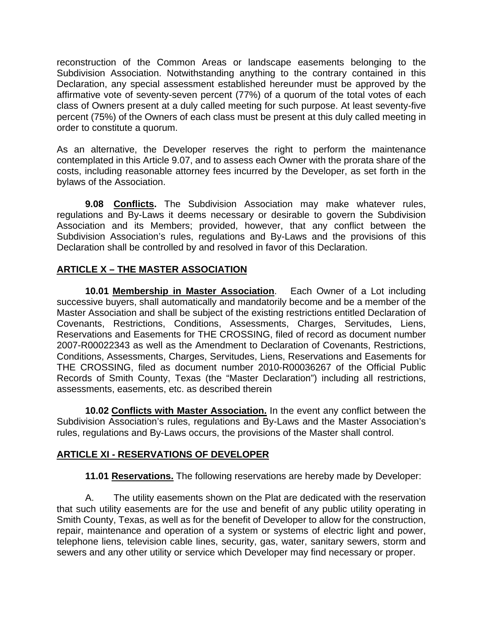reconstruction of the Common Areas or landscape easements belonging to the Subdivision Association. Notwithstanding anything to the contrary contained in this Declaration, any special assessment established hereunder must be approved by the affirmative vote of seventy-seven percent (77%) of a quorum of the total votes of each class of Owners present at a duly called meeting for such purpose. At least seventy-five percent (75%) of the Owners of each class must be present at this duly called meeting in order to constitute a quorum.

As an alternative, the Developer reserves the right to perform the maintenance contemplated in this Article 9.07, and to assess each Owner with the prorata share of the costs, including reasonable attorney fees incurred by the Developer, as set forth in the bylaws of the Association.

**9.08 Conflicts.** The Subdivision Association may make whatever rules, regulations and By-Laws it deems necessary or desirable to govern the Subdivision Association and its Members; provided, however, that any conflict between the Subdivision Association's rules, regulations and By-Laws and the provisions of this Declaration shall be controlled by and resolved in favor of this Declaration.

### **ARTICLE X – THE MASTER ASSOCIATION**

**10.01 Membership in Master Association**. Each Owner of a Lot including successive buyers, shall automatically and mandatorily become and be a member of the Master Association and shall be subject of the existing restrictions entitled Declaration of Covenants, Restrictions, Conditions, Assessments, Charges, Servitudes, Liens, Reservations and Easements for THE CROSSING, filed of record as document number 2007-R00022343 as well as the Amendment to Declaration of Covenants, Restrictions, Conditions, Assessments, Charges, Servitudes, Liens, Reservations and Easements for THE CROSSING, filed as document number 2010-R00036267 of the Official Public Records of Smith County, Texas (the "Master Declaration") including all restrictions, assessments, easements, etc. as described therein

**10.02 Conflicts with Master Association.** In the event any conflict between the Subdivision Association's rules, regulations and By-Laws and the Master Association's rules, regulations and By-Laws occurs, the provisions of the Master shall control.

### **ARTICLE XI - RESERVATIONS OF DEVELOPER**

**11.01 Reservations.** The following reservations are hereby made by Developer:

A. The utility easements shown on the Plat are dedicated with the reservation that such utility easements are for the use and benefit of any public utility operating in Smith County, Texas, as well as for the benefit of Developer to allow for the construction, repair, maintenance and operation of a system or systems of electric light and power, telephone liens, television cable lines, security, gas, water, sanitary sewers, storm and sewers and any other utility or service which Developer may find necessary or proper.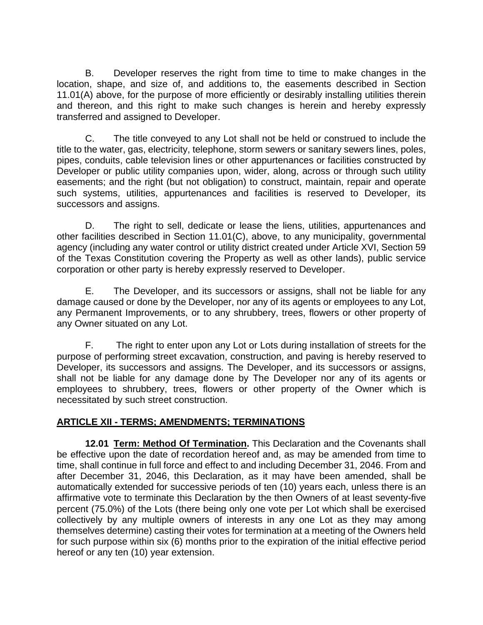B. Developer reserves the right from time to time to make changes in the location, shape, and size of, and additions to, the easements described in Section 11.01(A) above, for the purpose of more efficiently or desirably installing utilities therein and thereon, and this right to make such changes is herein and hereby expressly transferred and assigned to Developer.

C. The title conveyed to any Lot shall not be held or construed to include the title to the water, gas, electricity, telephone, storm sewers or sanitary sewers lines, poles, pipes, conduits, cable television lines or other appurtenances or facilities constructed by Developer or public utility companies upon, wider, along, across or through such utility easements; and the right (but not obligation) to construct, maintain, repair and operate such systems, utilities, appurtenances and facilities is reserved to Developer, its successors and assigns.

D. The right to sell, dedicate or lease the liens, utilities, appurtenances and other facilities described in Section 11.01(C), above, to any municipality, governmental agency (including any water control or utility district created under Article XVI, Section 59 of the Texas Constitution covering the Property as well as other lands), public service corporation or other party is hereby expressly reserved to Developer.

E. The Developer, and its successors or assigns, shall not be liable for any damage caused or done by the Developer, nor any of its agents or employees to any Lot, any Permanent Improvements, or to any shrubbery, trees, flowers or other property of any Owner situated on any Lot.

F. The right to enter upon any Lot or Lots during installation of streets for the purpose of performing street excavation, construction, and paving is hereby reserved to Developer, its successors and assigns. The Developer, and its successors or assigns, shall not be liable for any damage done by The Developer nor any of its agents or employees to shrubbery, trees, flowers or other property of the Owner which is necessitated by such street construction.

### **ARTICLE XII - TERMS; AMENDMENTS; TERMINATIONS**

**12.01 Term: Method Of Termination.** This Declaration and the Covenants shall be effective upon the date of recordation hereof and, as may be amended from time to time, shall continue in full force and effect to and including December 31, 2046. From and after December 31, 2046, this Declaration, as it may have been amended, shall be automatically extended for successive periods of ten (10) years each, unless there is an affirmative vote to terminate this Declaration by the then Owners of at least seventy-five percent (75.0%) of the Lots (there being only one vote per Lot which shall be exercised collectively by any multiple owners of interests in any one Lot as they may among themselves determine) casting their votes for termination at a meeting of the Owners held for such purpose within six (6) months prior to the expiration of the initial effective period hereof or any ten (10) year extension.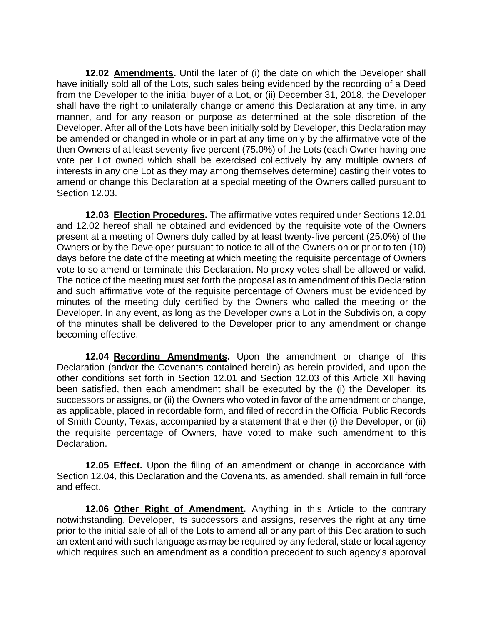**12.02 Amendments.** Until the later of (i) the date on which the Developer shall have initially sold all of the Lots, such sales being evidenced by the recording of a Deed from the Developer to the initial buyer of a Lot, or (ii) December 31, 2018, the Developer shall have the right to unilaterally change or amend this Declaration at any time, in any manner, and for any reason or purpose as determined at the sole discretion of the Developer. After all of the Lots have been initially sold by Developer, this Declaration may be amended or changed in whole or in part at any time only by the affirmative vote of the then Owners of at least seventy-five percent (75.0%) of the Lots (each Owner having one vote per Lot owned which shall be exercised collectively by any multiple owners of interests in any one Lot as they may among themselves determine) casting their votes to amend or change this Declaration at a special meeting of the Owners called pursuant to Section 12.03.

**12.03 Election Procedures.** The affirmative votes required under Sections 12.01 and 12.02 hereof shall he obtained and evidenced by the requisite vote of the Owners present at a meeting of Owners duly called by at least twenty-five percent (25.0%) of the Owners or by the Developer pursuant to notice to all of the Owners on or prior to ten (10) days before the date of the meeting at which meeting the requisite percentage of Owners vote to so amend or terminate this Declaration. No proxy votes shall be allowed or valid. The notice of the meeting must set forth the proposal as to amendment of this Declaration and such affirmative vote of the requisite percentage of Owners must be evidenced by minutes of the meeting duly certified by the Owners who called the meeting or the Developer. In any event, as long as the Developer owns a Lot in the Subdivision, a copy of the minutes shall be delivered to the Developer prior to any amendment or change becoming effective.

**12.04 Recording Amendments.** Upon the amendment or change of this Declaration (and/or the Covenants contained herein) as herein provided, and upon the other conditions set forth in Section 12.01 and Section 12.03 of this Article XII having been satisfied, then each amendment shall be executed by the (i) the Developer, its successors or assigns, or (ii) the Owners who voted in favor of the amendment or change, as applicable, placed in recordable form, and filed of record in the Official Public Records of Smith County, Texas, accompanied by a statement that either (i) the Developer, or (ii) the requisite percentage of Owners, have voted to make such amendment to this Declaration.

**12.05 Effect.** Upon the filing of an amendment or change in accordance with Section 12.04, this Declaration and the Covenants, as amended, shall remain in full force and effect.

**12.06 Other Right of Amendment.** Anything in this Article to the contrary notwithstanding, Developer, its successors and assigns, reserves the right at any time prior to the initial sale of all of the Lots to amend all or any part of this Declaration to such an extent and with such language as may be required by any federal, state or local agency which requires such an amendment as a condition precedent to such agency's approval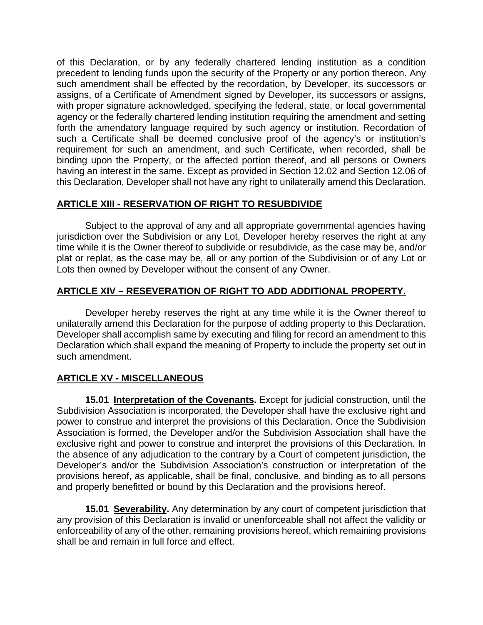of this Declaration, or by any federally chartered lending institution as a condition precedent to lending funds upon the security of the Property or any portion thereon. Any such amendment shall be effected by the recordation, by Developer, its successors or assigns, of a Certificate of Amendment signed by Developer, its successors or assigns, with proper signature acknowledged, specifying the federal, state, or local governmental agency or the federally chartered lending institution requiring the amendment and setting forth the amendatory language required by such agency or institution. Recordation of such a Certificate shall be deemed conclusive proof of the agency's or institution's requirement for such an amendment, and such Certificate, when recorded, shall be binding upon the Property, or the affected portion thereof, and all persons or Owners having an interest in the same. Except as provided in Section 12.02 and Section 12.06 of this Declaration, Developer shall not have any right to unilaterally amend this Declaration.

## **ARTICLE XIII - RESERVATION OF RIGHT TO RESUBDIVIDE**

Subject to the approval of any and all appropriate governmental agencies having jurisdiction over the Subdivision or any Lot, Developer hereby reserves the right at any time while it is the Owner thereof to subdivide or resubdivide, as the case may be, and/or plat or replat, as the case may be, all or any portion of the Subdivision or of any Lot or Lots then owned by Developer without the consent of any Owner.

### **ARTICLE XIV – RESEVERATION OF RIGHT TO ADD ADDITIONAL PROPERTY.**

Developer hereby reserves the right at any time while it is the Owner thereof to unilaterally amend this Declaration for the purpose of adding property to this Declaration. Developer shall accomplish same by executing and filing for record an amendment to this Declaration which shall expand the meaning of Property to include the property set out in such amendment.

### **ARTICLE XV - MISCELLANEOUS**

**15.01 Interpretation of the Covenants.** Except for judicial construction, until the Subdivision Association is incorporated, the Developer shall have the exclusive right and power to construe and interpret the provisions of this Declaration. Once the Subdivision Association is formed, the Developer and/or the Subdivision Association shall have the exclusive right and power to construe and interpret the provisions of this Declaration. In the absence of any adjudication to the contrary by a Court of competent jurisdiction, the Developer's and/or the Subdivision Association's construction or interpretation of the provisions hereof, as applicable, shall be final, conclusive, and binding as to all persons and properly benefitted or bound by this Declaration and the provisions hereof.

**15.01 Severability.** Any determination by any court of competent jurisdiction that any provision of this Declaration is invalid or unenforceable shall not affect the validity or enforceability of any of the other, remaining provisions hereof, which remaining provisions shall be and remain in full force and effect.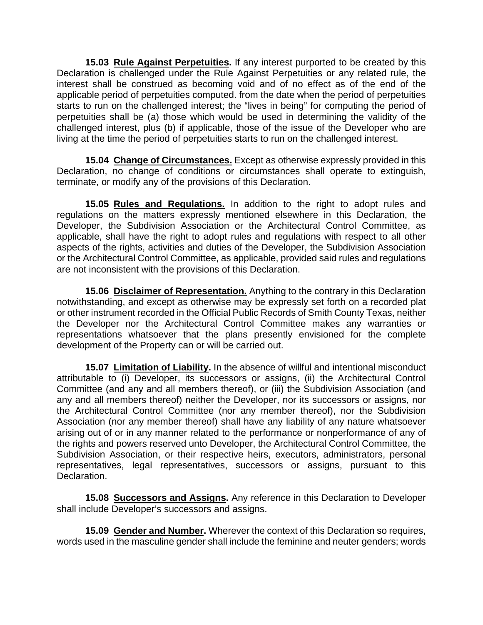**15.03 Rule Against Perpetuities.** If any interest purported to be created by this Declaration is challenged under the Rule Against Perpetuities or any related rule, the interest shall be construed as becoming void and of no effect as of the end of the applicable period of perpetuities computed. from the date when the period of perpetuities starts to run on the challenged interest; the "lives in being" for computing the period of perpetuities shall be (a) those which would be used in determining the validity of the challenged interest, plus (b) if applicable, those of the issue of the Developer who are living at the time the period of perpetuities starts to run on the challenged interest.

**15.04 Change of Circumstances.** Except as otherwise expressly provided in this Declaration, no change of conditions or circumstances shall operate to extinguish, terminate, or modify any of the provisions of this Declaration.

**15.05 Rules and Regulations.** In addition to the right to adopt rules and regulations on the matters expressly mentioned elsewhere in this Declaration, the Developer, the Subdivision Association or the Architectural Control Committee, as applicable, shall have the right to adopt rules and regulations with respect to all other aspects of the rights, activities and duties of the Developer, the Subdivision Association or the Architectural Control Committee, as applicable, provided said rules and regulations are not inconsistent with the provisions of this Declaration.

**15.06 Disclaimer of Representation.** Anything to the contrary in this Declaration notwithstanding, and except as otherwise may be expressly set forth on a recorded plat or other instrument recorded in the Official Public Records of Smith County Texas, neither the Developer nor the Architectural Control Committee makes any warranties or representations whatsoever that the plans presently envisioned for the complete development of the Property can or will be carried out.

**15.07 Limitation of Liability.** In the absence of willful and intentional misconduct attributable to (i) Developer, its successors or assigns, (ii) the Architectural Control Committee (and any and all members thereof), or (iii) the Subdivision Association (and any and all members thereof) neither the Developer, nor its successors or assigns, nor the Architectural Control Committee (nor any member thereof), nor the Subdivision Association (nor any member thereof) shall have any liability of any nature whatsoever arising out of or in any manner related to the performance or nonperformance of any of the rights and powers reserved unto Developer, the Architectural Control Committee, the Subdivision Association, or their respective heirs, executors, administrators, personal representatives, legal representatives, successors or assigns, pursuant to this Declaration.

**15.08 Successors and Assigns.** Any reference in this Declaration to Developer shall include Developer's successors and assigns.

**15.09 Gender and Number.** Wherever the context of this Declaration so requires, words used in the masculine gender shall include the feminine and neuter genders; words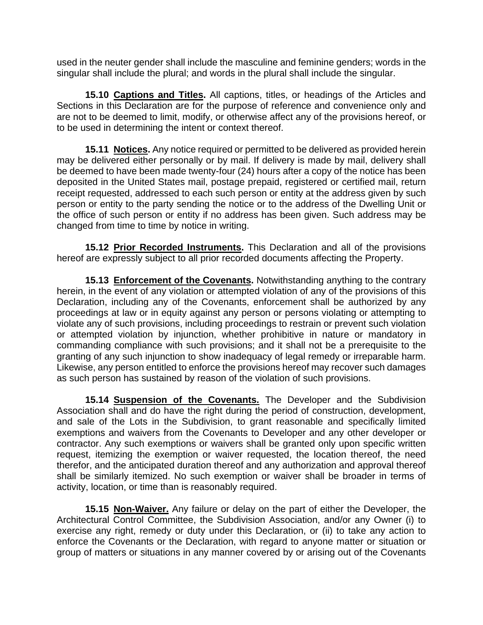used in the neuter gender shall include the masculine and feminine genders; words in the singular shall include the plural; and words in the plural shall include the singular.

**15.10 Captions and Titles.** All captions, titles, or headings of the Articles and Sections in this Declaration are for the purpose of reference and convenience only and are not to be deemed to limit, modify, or otherwise affect any of the provisions hereof, or to be used in determining the intent or context thereof.

**15.11 Notices.** Any notice required or permitted to be delivered as provided herein may be delivered either personally or by mail. If delivery is made by mail, delivery shall be deemed to have been made twenty-four (24) hours after a copy of the notice has been deposited in the United States mail, postage prepaid, registered or certified mail, return receipt requested, addressed to each such person or entity at the address given by such person or entity to the party sending the notice or to the address of the Dwelling Unit or the office of such person or entity if no address has been given. Such address may be changed from time to time by notice in writing.

**15.12 Prior Recorded Instruments.** This Declaration and all of the provisions hereof are expressly subject to all prior recorded documents affecting the Property.

**15.13 Enforcement of the Covenants.** Notwithstanding anything to the contrary herein, in the event of any violation or attempted violation of any of the provisions of this Declaration, including any of the Covenants, enforcement shall be authorized by any proceedings at law or in equity against any person or persons violating or attempting to violate any of such provisions, including proceedings to restrain or prevent such violation or attempted violation by injunction, whether prohibitive in nature or mandatory in commanding compliance with such provisions; and it shall not be a prerequisite to the granting of any such injunction to show inadequacy of legal remedy or irreparable harm. Likewise, any person entitled to enforce the provisions hereof may recover such damages as such person has sustained by reason of the violation of such provisions.

**15.14 Suspension of the Covenants.** The Developer and the Subdivision Association shall and do have the right during the period of construction, development, and sale of the Lots in the Subdivision, to grant reasonable and specifically limited exemptions and waivers from the Covenants to Developer and any other developer or contractor. Any such exemptions or waivers shall be granted only upon specific written request, itemizing the exemption or waiver requested, the location thereof, the need therefor, and the anticipated duration thereof and any authorization and approval thereof shall be similarly itemized. No such exemption or waiver shall be broader in terms of activity, location, or time than is reasonably required.

**15.15 Non-Waiver.** Any failure or delay on the part of either the Developer, the Architectural Control Committee, the Subdivision Association, and/or any Owner (i) to exercise any right, remedy or duty under this Declaration, or (ii) to take any action to enforce the Covenants or the Declaration, with regard to anyone matter or situation or group of matters or situations in any manner covered by or arising out of the Covenants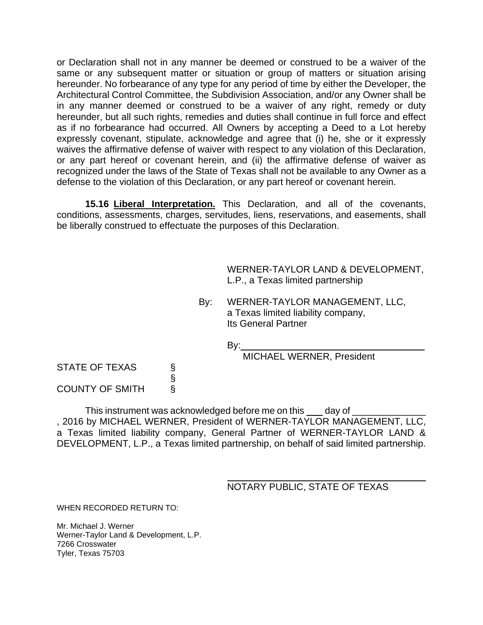or Declaration shall not in any manner be deemed or construed to be a waiver of the same or any subsequent matter or situation or group of matters or situation arising hereunder. No forbearance of any type for any period of time by either the Developer, the Architectural Control Committee, the Subdivision Association, and/or any Owner shall be in any manner deemed or construed to be a waiver of any right, remedy or duty hereunder, but all such rights, remedies and duties shall continue in full force and effect as if no forbearance had occurred. All Owners by accepting a Deed to a Lot hereby expressly covenant, stipulate, acknowledge and agree that (i) he, she or it expressly waives the affirmative defense of waiver with respect to any violation of this Declaration, or any part hereof or covenant herein, and (ii) the affirmative defense of waiver as recognized under the laws of the State of Texas shall not be available to any Owner as a defense to the violation of this Declaration, or any part hereof or covenant herein.

**15.16 Liberal Interpretation.** This Declaration, and all of the covenants, conditions, assessments, charges, servitudes, liens, reservations, and easements, shall be liberally construed to effectuate the purposes of this Declaration.

> WERNER-TAYLOR LAND & DEVELOPMENT, L.P., a Texas limited partnership

By: WERNER-TAYLOR MANAGEMENT, LLC, a Texas limited liability company, Its General Partner

By:

MICHAEL WERNER, President

STATE OF TEXAS § COUNTY OF SMITH

This instrument was acknowledged before me on this \_\_\_\_\_ day of \_ , 2016 by MICHAEL WERNER, President of WERNER-TAYLOR MANAGEMENT, LLC, a Texas limited liability company, General Partner of WERNER-TAYLOR LAND & DEVELOPMENT, L.P., a Texas limited partnership, on behalf of said limited partnership.

> $\overline{a}$ NOTARY PUBLIC, STATE OF TEXAS

WHEN RECORDED RETURN TO:

Mr. Michael J. Werner Werner-Taylor Land & Development, L.P. 7266 Crosswater Tyler, Texas 75703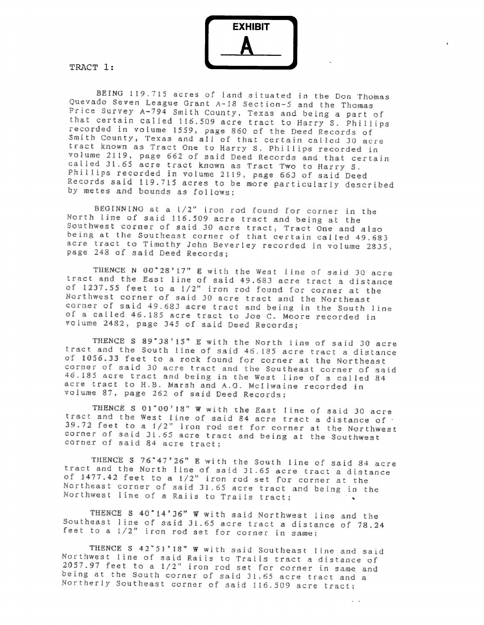EXHIBIT

TRACT 1:

BEING 119.715 acres of land situated in the Don Thomas Quevado Seven League Grant A-18 Section-5 and the Thomas Price Survey A-794 Smith County, Texas and being a part of that certain called 116.509 acre tract to Harry S. Phillips recorded in volume 1559, page 860 of the Deed Records of Smith County, Texas and all of that certain called 30 acre tract known as Tract One to Harry S. Phillips recorded in volume 2119, page 662 of said Deed Records and that certain called 31.65 acre tract known as Tract Two to Harry S. Phillips recorded in volume 2119, page 663 of said Deed Records said 119.715 acres to be more particularly described by metes and bounds as follows:

BEGINNING at a 1/2" iron rod found for corner in the North line of said 116.509 acre tract and being at the Southwest corner of said 30 acre tract, Tract One and also being at the Southeast corner of that certain called 49.683 acre tract to Timothy John Beverley recorded in volume 2835, page 248 of said Deed Records;

THENCE N 00°28'17" E with the West line of said 30 acre tract and the East line of said 49.683 acre tract a distance of 1237.55 feet to a 1/2" iron rod found for corner at the Northwest corner of said 30 acre tract and the Northeast corner of said 49.683 acre tract and being in the South line of a called 46.185 acre tract to Joe C. Moore recorded in volume 2482, page 345 of said Deed Records;

THENCE S 89'38'15" E with the North line of said 30 acre tract and the South line of said 46,185 acre tract a distance of 1056.33 feet to a rock found for corner at the Northeast corner of said 30 acre tract and the Southeast corner of said 46.185 acre tract and being in the West line of a called 84 acre tract to H.B. Marsh and A.G. McIlwaine recorded in volume 87, page 262 of said Deed Records;

THENCE S 01°00'18" W with the East line of said 30 acre tract and the West line of said 84 acre tract a distance of 39.72 feet to a 1/2" iron rod set for corner at the Northwest corner of said 31.65 acre tract and being at the Southwest corner of said 84 acre tract;

THENCE S 76°47'26" E with the South line of said 84 acre tract and the North line of said 31.65 acre tract a distance of 1477.42 feet to a 1/2" iron rod set for corner at the Northeast corner of said 31.65 acre tract and being in the Northwest line of a Rails to Trails tract;

THENCE S 40'14'36" W with said Northwest line and the Southeast line of said 31.65 acre tract a distance of 78.24 feet to a  $1/2^n$  iron rod set for corner in same;

THENCE S 42"51'18" W with said Southeast line and said Northwest line of said Rails to Trails tract a distance of 2057.97 feet to a  $1/2$ " iron rod set for corner in same and being at the South corner of said 31.65 acre tract and a Northerly Southeast corner of said 116.509 acre tract;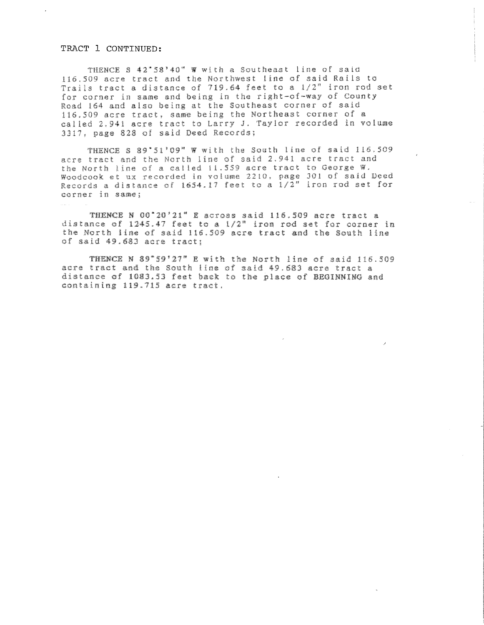#### TRACT 1 CONTINUED:

THENCE S 42\*58'40" W with a Southeast line of said 116.509 acre tract and the Northwest line of said Rails to Trails tract a distance of 719.64 feet to a 1/2" iron rod set for corner in same and being in the right-of-way of County Road 164 and also being at the Southeast corner of said 116.509 acre tract, same being the Northeast corner of a called 2.941 acre tract to Larry J. Taylor recorded in volume 3317, page 828 of said Deed Records;

THENCE S 89'51'09" W with the South line of said 116.509 acre tract and the North line of said 2.941 acre tract and the North line of a called 11.559 acre tract to George W. Woodcook et ux recorded in volume 2210, page 301 of said Deed Records a distance of 1654.17 feet to a  $1/2$ " iron rod set for corner in same;

THENCE N 00'20'21" E across said 115.509 acre tract a distance of 1245.47 feet to a 1/2" iron rod set for corner in the North line of said 116.509 acre tract and the South line of said 49.683 acre tract;

THENCE N 89"59'27" E with the North line of said 116.509 acre tract and the South line of said 49.683 acre tract a distance of 1083.53 feet back to the place of BEGINNING and containing 119.715 acre tract.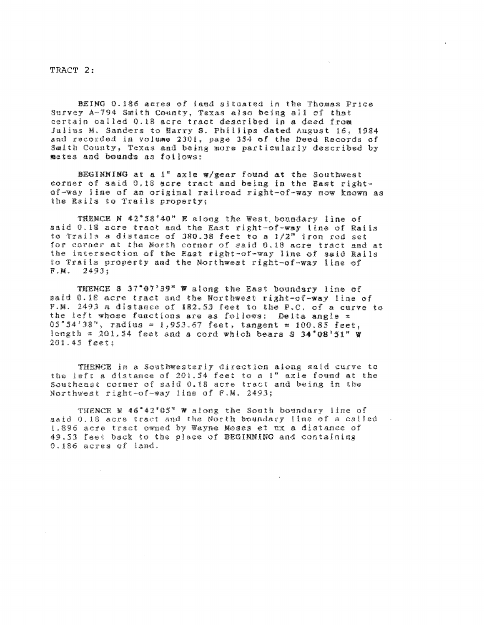TRACT 2:

BEING 0.186 acres of land situated in the Thomas Price Survey A-794 Smith County, Texas also being all of that certain called 0.18 acre tract described in a deed from Julius M. Sanders to Harry S. Phillips dated August 16, 1984 and recorded in volume 2301, page 354 of the Deed Records of Smith County, Texas and being more particularly described by metes and bounds as follows:

BEGINNING at a i" axie w/gear found at the Southwest corner of said 0.18 acre tract and being in the East rightof-way line of an original railroad right-of-way now known as the Rails to Trails property;

THENCE N 42\*58'40" E along the West boundary line of said 0.18 acre tract and the East right-of-way line of Rails to Trails a distance of 380.38 feet to a 1/2" iron rod set for corner at the North corner of said 0.18 acre tract and at the intersection of the East right-of-way line of said Rails to Trails property and the Northwest right-of-way line of  $F.M. 2493:$ 

THENCE 3 37\*07'39" W along the East boundary line of said 0.18 acre tract and the Northwest right-of-way line of F.M. 2493 a distance of 182.53 feet to the P.C. of a curve to the left whose functions are as follows: Delta angle =  $05554'38''$ , radius = 1,953.67 feet, tangent = 100.83 feet. length = 201.54 feet and a cord which bears \$ 34°08'51"  $\Psi$ 201.45 feet:

THENCE in a Southwesterly direction along said curve to the left a distance of 201.54 feet to a 1" axle found at the Southeast corner of said 0.18 acre tract and being in the Northwest right-of-way line of F.M. 2493;

THENCE N 46\*42'05" W along the South boundary line of said 0.18 acre tract and the North boundary line of a called 1.896 acre tract owned by Wayne Moses et ux a distance of 49.53 feet back to the place of BEGINNING and containing 0.186 acres of land.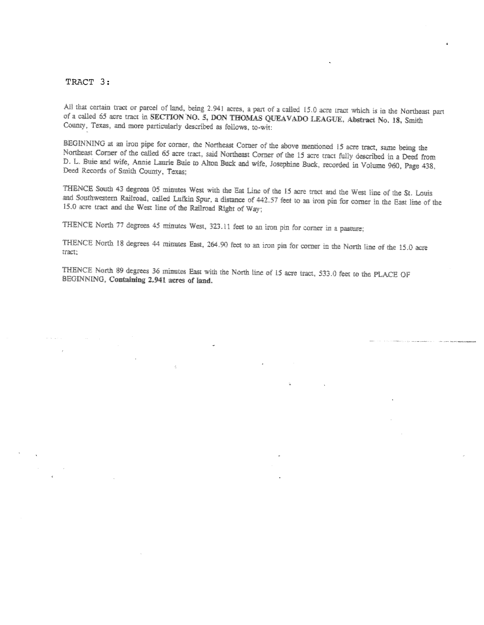#### TRACT 3:

All that certain tract or parcel of land, being 2.941 acres, a part of a called 15.0 acre tract which is in the Northeast part of a called 65 acre tract in SECTION NO. 5, DON THOMAS QUEAVADO LEAGUE, Abstract No. 18, Smith County, Texas, and more particularly described as follows, to-wit:

BEGINNING at an iron pipe for corner, the Northeast Corner of the above mentioned 15 acre tract, same being the Northeast Corner of the called 65 acre tract, said Northeast Corner of the 15 acre tract fully described in a Deed from D. L. Buie and wife, Annie Laurie Buie to Alton Buck and wife, Josephine Buck, recorded in Volume 960, Page 438, Deed Records of Smith County, Texas;

THENCE South 43 degrees 05 minutes West with the Eat Line of the 15 acre tract and the West line of the St. Louis and Southwestern Railroad, called Lufkin Spur, a distance of 442.57 feet to an iron pin for corner in the East line of the 15.0 acre tract and the West line of the Railroad Right of Way;

THENCE North 77 degrees 45 minutes West, 323.11 feet to an iron pin for corner in a pasture;

THENCE North 18 degrees 44 minutes East, 264.90 feet to an iron pin for corner in the North line of the 15.0 acre tract:

THENCE North 89 degrees 36 minutes East with the North line of 15 acre tract, 533.0 feet to the PLACE OF BEGINNING, Containing 2.941 acres of land.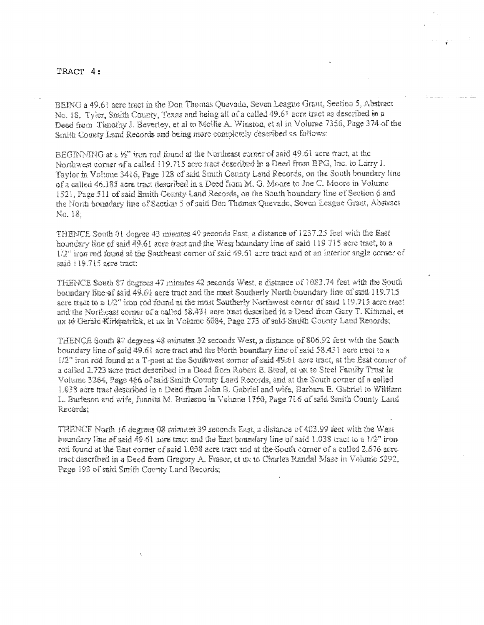#### TRACT 4:

BEING a 49.61 acre tract in the Don Thomas Quevado, Seven League Grant, Section 5, Abstract No. 18, Tyler, Smith County, Texas and being all of a called 49.61 acre tract as described in a Deed from Timothy J. Beverley, et al to Mollie A. Winston, et al in Volume 7356, Page 374 of the Smith County Land Records and being more completely described as follows:

BEGINNING at a 1/2" iron rod found at the Northeast corner of said 49.61 acre tract, at the Northwest corner of a called 119.715 acre tract described in a Deed from BPG, Inc. to Larry J. Taylor in Volume 3416, Page 128 of said Smith County Land Records, on the South boundary line of a called 46.185 acre tract described in a Deed from M. G. Moore to Joe C. Moore in Volume 1521, Page 511 of said Smith County Land Records, on the South boundary line of Section 6 and the North boundary line of Section 5 of said Don Thomas Quevado, Seven League Grant, Abstract No. 18:

THENCE South 01 degree 43 minutes 49 seconds East, a distance of 1237.25 feet with the East boundary line of said 49.61 aere tract and the West boundary line of said 119.715 acre tract, to a  $1/2$ " iron rod found at the Southeast corner of said 49.61 acre tract and at an interior angle corner of said 119.715 acre tract:

THENCE South 87 degrees 47 minutes 42 seconds West, a distance of 1083.74 feet with the South boundary line of said 49.64 aere tract and the most Southerly North boundary line of said 119.715 acre tract to a 1/2" from rod found at the most Southerly Northwest corner of said 119.715 acre tract and the Northeast corner of a called 58.431 acre tract described in a Deed from Gary T. Kimmel, et ux to Gerald Kirkpatrick, et ux in Volume 6084, Page 273 of said Smith County Land Records;

THENCE South 87 degrees 48 minutes 32 seconds West, a distance of 806.92 feet with the South boundary line of said 49.61 acre tract and the North boundary line of said 58.431 acre tract to a 1/2" iron rod found at a T-post at the Southwest corner of said 49.61 acre tract, at the East corner of a called 2.723 acre tract described in a Deed from Robert E. Steel, et ux to Steel Family Trust in Volume 3264, Page 466 of said Smith County Land Records, and at the South corner of a called 1.038 acre tract described in a Deed from John B. Gabriel and wife, Barbara E. Gabriel to William L. Burleson and wife, Juanita M. Burleson in Volume 1750, Page 716 of said Smith County Land **Records:** 

THENCE North 16 degrees 08 minutes 39 seconds East, a distance of 403.99 feet with the West boundary line of said 49.61 acre tract and the East boundary line of said 1.038 tract to a  $1/2$ " iron rod found at the East corner of said 1.038 acre tract and at the South corner of a called 2.676 acre tract described in a Deed from Gregory A. Fraser, et ux to Charles Randal Mase in Volume 5292. Page 193 of said Smith County Land Records: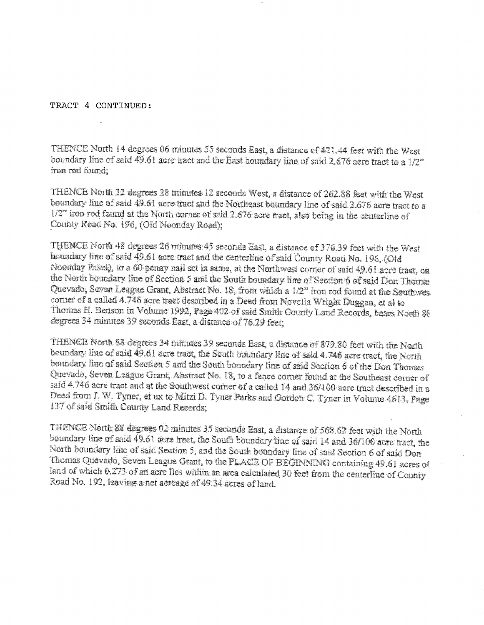#### TRACT 4 CONTINUED:

THENCE North 14 degrees 06 minutes 55 seconds East, a distance of 421,44 feet with the West boundary line of said 49.61 acre tract and the East boundary line of said 2.676 acre tract to a 1/2" fouroi found

THENCE North 32 degrees 28 minutes 12 seconds West, a distance of 262.88 feet with the West. boundary line of said 49.61 acre tract and the Northeast boundary line of said 2.676 acre tract to a 1/2" fron rod found at the North corner of said 2.676 acre tract, also being in the centerline of County Read No. 196, (Old Noonday Road);

THENCE North 48 degrees 26 minutes 45 seconds East, a distance of 376.39 feet with the West boundary line of said 49.61 acre tract and the centerline of said County Road No. 196, (Old Noonday Road), to a 60 penny nail set in same, at the Northwest corner of said 49.61 acre tract, on the North boundary line of Section 5 and the South boundary line of Section 6 of said Don Thomas Quevado, Seven League Grant, Abstract No. 18, from which a 1/2" iron rod found at the Southwes corner of a called 4.746 acre tract described in a Deed from Novella Wright Duggan, et al to Thomas H. Benson in Volume 1992, Page 402 of said Smith County Land Records, bears North 88 degrees 34 minutes 39 seconds East, a distance of 76.29 feet;

THENCE North 88 degrees 34 minutes 39 seconds East, a distance of 879.80 feet with the North boundary line of said 49.61 acre tract, the South boundary line of said 4.746 acre tract, the North boundary line of said Section 5 and the South boundary line of said Section 6 of the Don Thomas Quevado, Seven League Grant, Abstract No. 18, to a fence corner found at the Southeast corner of said 4.746 acre tract and at the Southwest corner of a called 14 and 36/100 acre tract described in a Deed from J. W. Tyner, et ux to Mitzi D. Tyner Parks and Gordon C. Tyner in Volume 4613, Page 137 of said Smith County Land Records:

THENCE North 88 degrees 02 minutes 35 seconds East, a distance of 568.62 feet with the North boundary line of said 49.61 acre tract, the South boundary line of said 14 and 36/100 acre tract, the North boundary line of said Section 5, and the South boundary line of said Section 6 of said Don Thomas Quevado, Seven League Grant, to the PLACE OF BEGINNING containing 49.61 acres of land of which 0.273 of an acre lies within an area calculated 30 feet from the centerline of County Road No. 192, leaving a net acreage of 49.34 acres of land.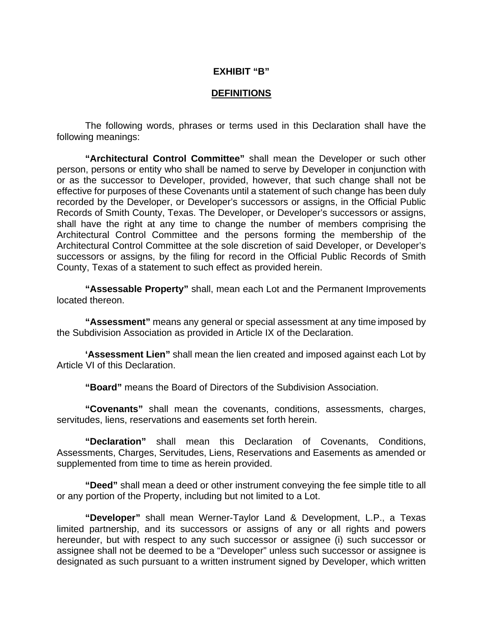#### **EXHIBIT "B"**

#### **DEFINITIONS**

The following words, phrases or terms used in this Declaration shall have the following meanings:

**"Architectural Control Committee"** shall mean the Developer or such other person, persons or entity who shall be named to serve by Developer in conjunction with or as the successor to Developer, provided, however, that such change shall not be effective for purposes of these Covenants until a statement of such change has been duly recorded by the Developer, or Developer's successors or assigns, in the Official Public Records of Smith County, Texas. The Developer, or Developer's successors or assigns, shall have the right at any time to change the number of members comprising the Architectural Control Committee and the persons forming the membership of the Architectural Control Committee at the sole discretion of said Developer, or Developer's successors or assigns, by the filing for record in the Official Public Records of Smith County, Texas of a statement to such effect as provided herein.

**"Assessable Property"** shall, mean each Lot and the Permanent Improvements located thereon.

**"Assessment"** means any general or special assessment at any time imposed by the Subdivision Association as provided in Article IX of the Declaration.

**'Assessment Lien"** shall mean the lien created and imposed against each Lot by Article VI of this Declaration.

**"Board"** means the Board of Directors of the Subdivision Association.

**"Covenants"** shall mean the covenants, conditions, assessments, charges, servitudes, liens, reservations and easements set forth herein.

**"Declaration"** shall mean this Declaration of Covenants, Conditions, Assessments, Charges, Servitudes, Liens, Reservations and Easements as amended or supplemented from time to time as herein provided.

**"Deed"** shall mean a deed or other instrument conveying the fee simple title to all or any portion of the Property, including but not limited to a Lot.

**"Developer"** shall mean Werner-Taylor Land & Development, L.P., a Texas limited partnership, and its successors or assigns of any or all rights and powers hereunder, but with respect to any such successor or assignee (i) such successor or assignee shall not be deemed to be a "Developer" unless such successor or assignee is designated as such pursuant to a written instrument signed by Developer, which written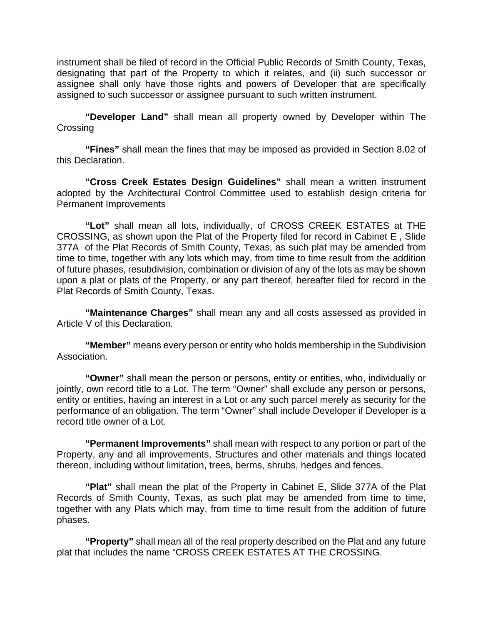instrument shall be filed of record in the Official Public Records of Smith County, Texas, designating that part of the Property to which it relates, and (ii) such successor or assignee shall only have those rights and powers of Developer that are specifically assigned to such successor or assignee pursuant to such written instrument.

**"Developer Land"** shall mean all property owned by Developer within The **Crossing** 

**"Fines"** shall mean the fines that may be imposed as provided in Section 8.02 of this Declaration.

**"Cross Creek Estates Design Guidelines"** shall mean a written instrument adopted by the Architectural Control Committee used to establish design criteria for Permanent Improvements

**"Lot"** shall mean all lots, individually, of CROSS CREEK ESTATES at THE CROSSING, as shown upon the Plat of the Property filed for record in Cabinet E , Slide 377A of the Plat Records of Smith County, Texas, as such plat may be amended from time to time, together with any lots which may, from time to time result from the addition of future phases, resubdivision, combination or division of any of the lots as may be shown upon a plat or plats of the Property, or any part thereof, hereafter filed for record in the Plat Records of Smith County, Texas.

**"Maintenance Charges"** shall mean any and all costs assessed as provided in Article V of this Declaration.

**"Member"** means every person or entity who holds membership in the Subdivision Association.

**"Owner"** shall mean the person or persons, entity or entities, who, individually or jointly, own record title to a Lot. The term "Owner" shall exclude any person or persons, entity or entities, having an interest in a Lot or any such parcel merely as security for the performance of an obligation. The term "Owner" shall include Developer if Developer is a record title owner of a Lot.

**"Permanent Improvements"** shall mean with respect to any portion or part of the Property, any and all improvements, Structures and other materials and things located thereon, including without limitation, trees, berms, shrubs, hedges and fences.

**"Plat"** shall mean the plat of the Property in Cabinet E, Slide 377A of the Plat Records of Smith County, Texas, as such plat may be amended from time to time, together with any Plats which may, from time to time result from the addition of future phases.

**"Property"** shall mean all of the real property described on the Plat and any future plat that includes the name "CROSS CREEK ESTATES AT THE CROSSING.